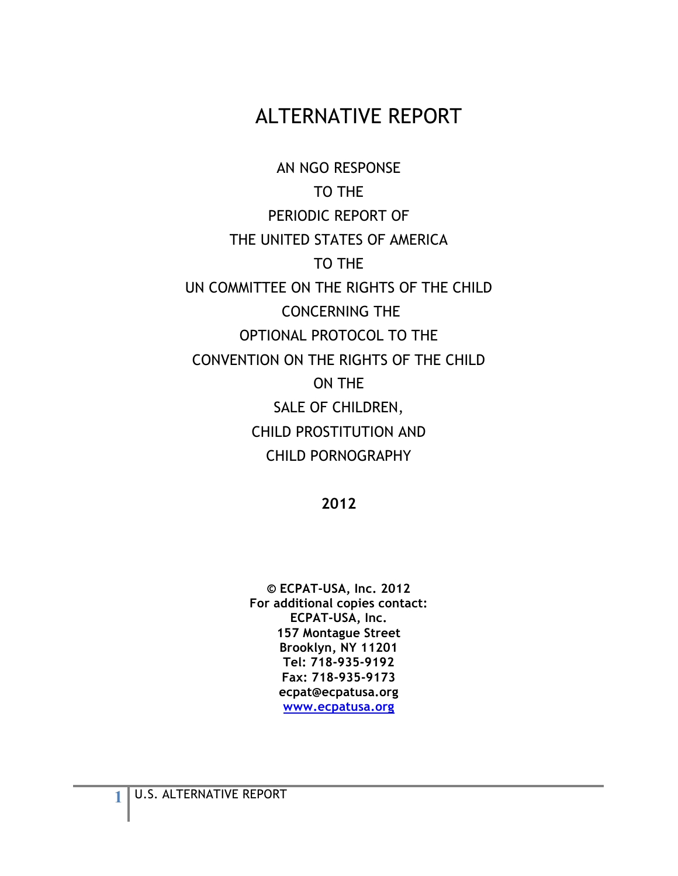# ALTERNATIVE REPORT

AN NGO RESPONSE TO THE PERIODIC REPORT OF THE UNITED STATES OF AMERICA TO THE UN COMMITTEE ON THE RIGHTS OF THE CHILD CONCERNING THE OPTIONAL PROTOCOL TO THE CONVENTION ON THE RIGHTS OF THE CHILD ON THE SALE OF CHILDREN, CHILD PROSTITUTION AND CHILD PORNOGRAPHY

**2012**

**© ECPAT-USA, Inc. 2012 For additional copies contact: ECPAT-USA, Inc. 157 Montague Street Brooklyn, NY 11201 Tel: 718-935-9192 Fax: 718-935-9173 ecpat@ecpatusa.org www.ecpatusa.org**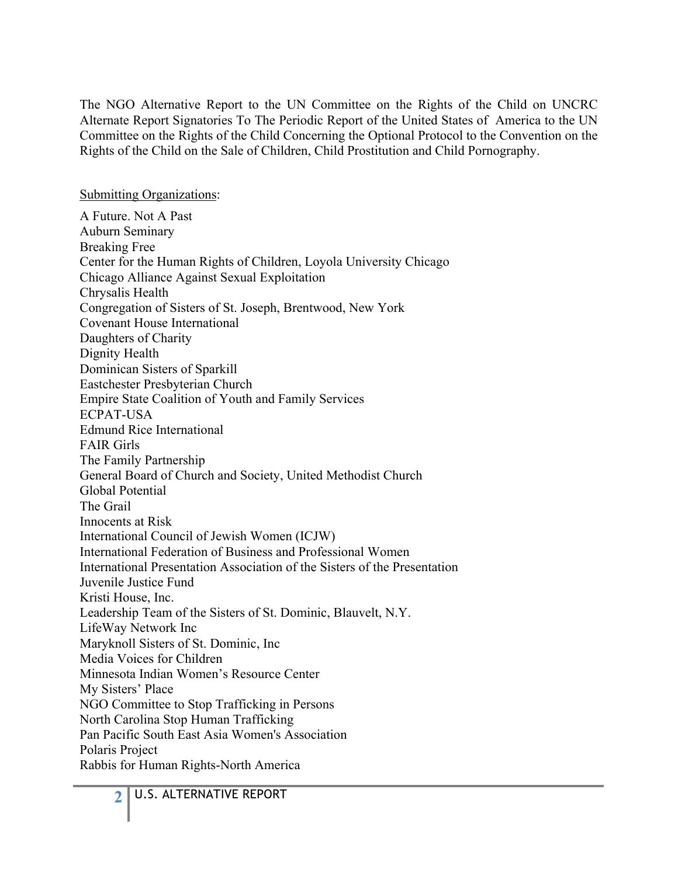The NGO Alternative Report to the UN Committee on the Rights of the Child on UNCRC Alternate Report Signatories To The Periodic Report of the United States of America to the UN Committee on the Rights of the Child Concerning the Optional Protocol to the Convention on the Rights of the Child on the Sale of Children, Child Prostitution and Child Pornography.

Submitting Organizations:

A Future. Not A Past Auburn Seminary Breaking Free Center for the Human Rights of Children, Loyola University Chicago Chicago Alliance Against Sexual Exploitation Chrysalis Health Congregation of Sisters of St. Joseph, Brentwood, New York Covenant House International Daughters of Charity Dignity Health Dominican Sisters of Sparkill Eastchester Presbyterian Church Empire State Coalition of Youth and Family Services ECPAT-USA Edmund Rice International FAIR Girls The Family Partnership General Board of Church and Society, United Methodist Church Global Potential The Grail Innocents at Risk International Council of Jewish Women (ICJW) International Federation of Business and Professional Women International Presentation Association of the Sisters of the Presentation Juvenile Justice Fund Kristi House, Inc. Leadership Team of the Sisters of St. Dominic, Blauvelt, N.Y. LifeWay Network Inc Maryknoll Sisters of St. Dominic, Inc Media Voices for Children Minnesota Indian Women's Resource Center My Sisters' Place NGO Committee to Stop Trafficking in Persons North Carolina Stop Human Trafficking Pan Pacific South East Asia Women's Association Polaris Project Rabbis for Human Rights-North America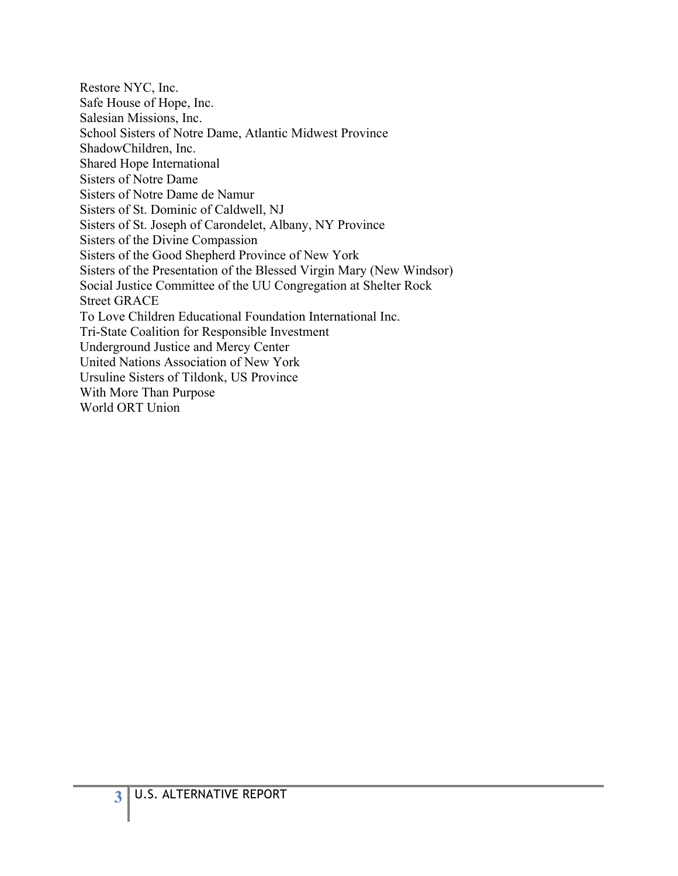Restore NYC, Inc. Safe House of Hope, Inc. Salesian Missions, Inc. School Sisters of Notre Dame, Atlantic Midwest Province ShadowChildren, Inc. Shared Hope International Sisters of Notre Dame Sisters of Notre Dame de Namur Sisters of St. Dominic of Caldwell, NJ Sisters of St. Joseph of Carondelet, Albany, NY Province Sisters of the Divine Compassion Sisters of the Good Shepherd Province of New York Sisters of the Presentation of the Blessed Virgin Mary (New Windsor) Social Justice Committee of the UU Congregation at Shelter Rock Street GRACE To Love Children Educational Foundation International Inc. Tri-State Coalition for Responsible Investment Underground Justice and Mercy Center United Nations Association of New York Ursuline Sisters of Tildonk, US Province With More Than Purpose World ORT Union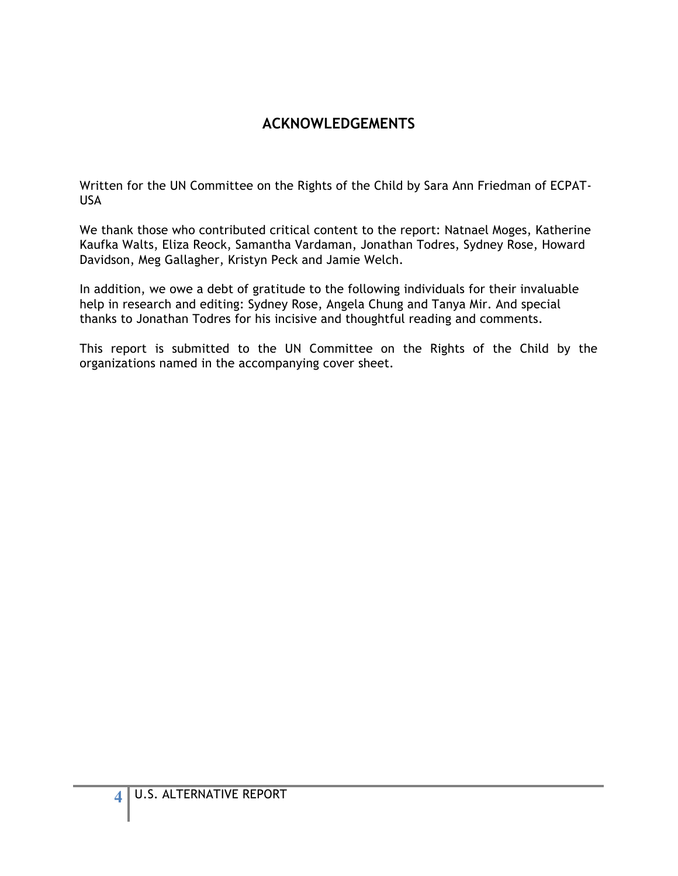## **ACKNOWLEDGEMENTS**

Written for the UN Committee on the Rights of the Child by Sara Ann Friedman of ECPAT-USA

We thank those who contributed critical content to the report: Natnael Moges, Katherine Kaufka Walts, Eliza Reock, Samantha Vardaman, Jonathan Todres, Sydney Rose, Howard Davidson, Meg Gallagher, Kristyn Peck and Jamie Welch.

In addition, we owe a debt of gratitude to the following individuals for their invaluable help in research and editing: Sydney Rose, Angela Chung and Tanya Mir. And special thanks to Jonathan Todres for his incisive and thoughtful reading and comments.

This report is submitted to the UN Committee on the Rights of the Child by the organizations named in the accompanying cover sheet.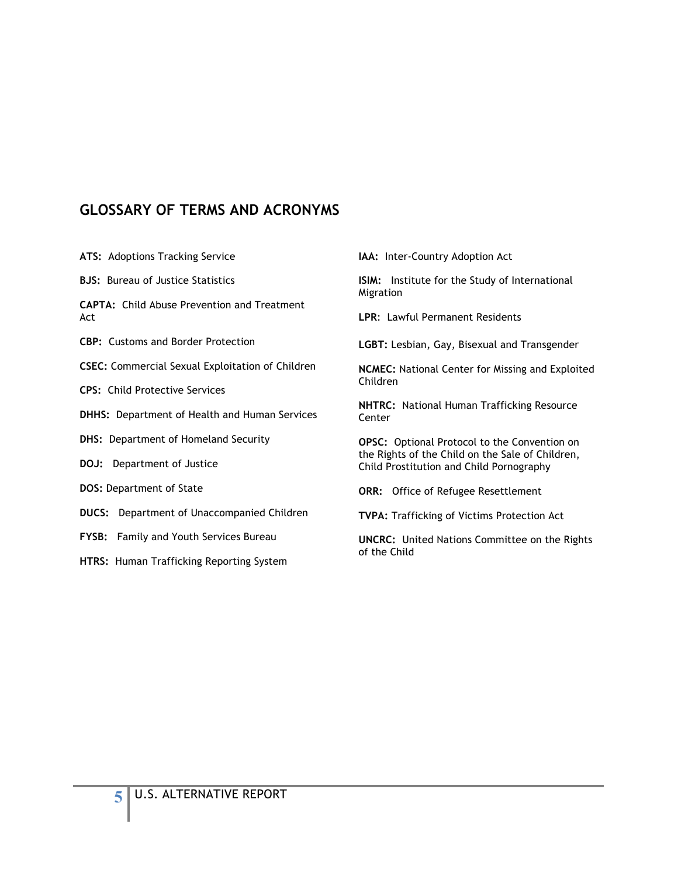### **GLOSSARY OF TERMS AND ACRONYMS**

**ATS:** Adoptions Tracking Service

**BJS:** Bureau of Justice Statistics

**CAPTA:** Child Abuse Prevention and Treatment Act

**CBP:** Customs and Border Protection

**CSEC:** Commercial Sexual Exploitation of Children

**CPS:** Child Protective Services

**DHHS:** Department of Health and Human Services

**DHS:** Department of Homeland Security

**DOJ:** Department of Justice

**DOS:** Department of State

**DUCS:** Department of Unaccompanied Children

**FYSB:** Family and Youth Services Bureau

**HTRS:** Human Trafficking Reporting System

**IAA:** Inter-Country Adoption Act

**ISIM:** Institute for the Study of International Migration

**LPR**: Lawful Permanent Residents

**LGBT:** Lesbian, Gay, Bisexual and Transgender

**NCMEC:** National Center for Missing and Exploited Children

**NHTRC:** National Human Trafficking Resource **Center** 

**OPSC:** Optional Protocol to the Convention on the Rights of the Child on the Sale of Children, Child Prostitution and Child Pornography

**ORR:** Office of Refugee Resettlement

**TVPA:** Trafficking of Victims Protection Act

**UNCRC:** United Nations Committee on the Rights of the Child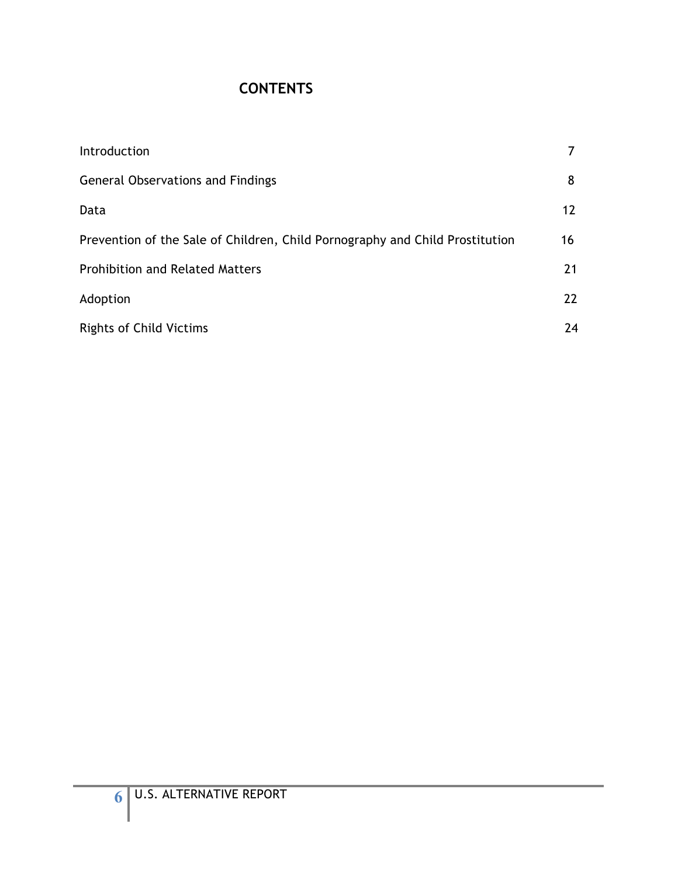## **CONTENTS**

| Introduction                                                                 |                   |
|------------------------------------------------------------------------------|-------------------|
| <b>General Observations and Findings</b>                                     | 8                 |
| Data                                                                         | $12 \overline{ }$ |
| Prevention of the Sale of Children, Child Pornography and Child Prostitution | 16                |
| <b>Prohibition and Related Matters</b>                                       | 21                |
| Adoption                                                                     | 22                |
| <b>Rights of Child Victims</b>                                               | 24                |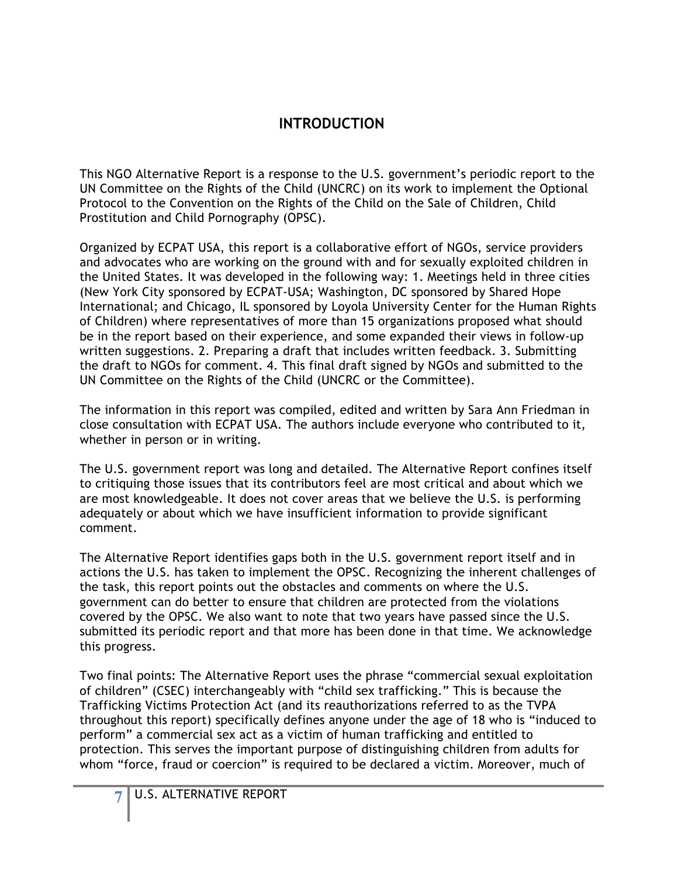## **INTRODUCTION**

This NGO Alternative Report is a response to the U.S. government's periodic report to the UN Committee on the Rights of the Child (UNCRC) on its work to implement the Optional Protocol to the Convention on the Rights of the Child on the Sale of Children, Child Prostitution and Child Pornography (OPSC).

Organized by ECPAT USA, this report is a collaborative effort of NGOs, service providers and advocates who are working on the ground with and for sexually exploited children in the United States. It was developed in the following way: 1. Meetings held in three cities (New York City sponsored by ECPAT-USA; Washington, DC sponsored by Shared Hope International; and Chicago, IL sponsored by Loyola University Center for the Human Rights of Children) where representatives of more than 15 organizations proposed what should be in the report based on their experience, and some expanded their views in follow-up written suggestions. 2. Preparing a draft that includes written feedback. 3. Submitting the draft to NGOs for comment. 4. This final draft signed by NGOs and submitted to the UN Committee on the Rights of the Child (UNCRC or the Committee).

The information in this report was compiled, edited and written by Sara Ann Friedman in close consultation with ECPAT USA. The authors include everyone who contributed to it, whether in person or in writing.

The U.S. government report was long and detailed. The Alternative Report confines itself to critiquing those issues that its contributors feel are most critical and about which we are most knowledgeable. It does not cover areas that we believe the U.S. is performing adequately or about which we have insufficient information to provide significant comment.

The Alternative Report identifies gaps both in the U.S. government report itself and in actions the U.S. has taken to implement the OPSC. Recognizing the inherent challenges of the task, this report points out the obstacles and comments on where the U.S. government can do better to ensure that children are protected from the violations covered by the OPSC. We also want to note that two years have passed since the U.S. submitted its periodic report and that more has been done in that time. We acknowledge this progress.

Two final points: The Alternative Report uses the phrase "commercial sexual exploitation of children" (CSEC) interchangeably with "child sex trafficking." This is because the Trafficking Victims Protection Act (and its reauthorizations referred to as the TVPA throughout this report) specifically defines anyone under the age of 18 who is "induced to perform" a commercial sex act as a victim of human trafficking and entitled to protection. This serves the important purpose of distinguishing children from adults for whom "force, fraud or coercion" is required to be declared a victim. Moreover, much of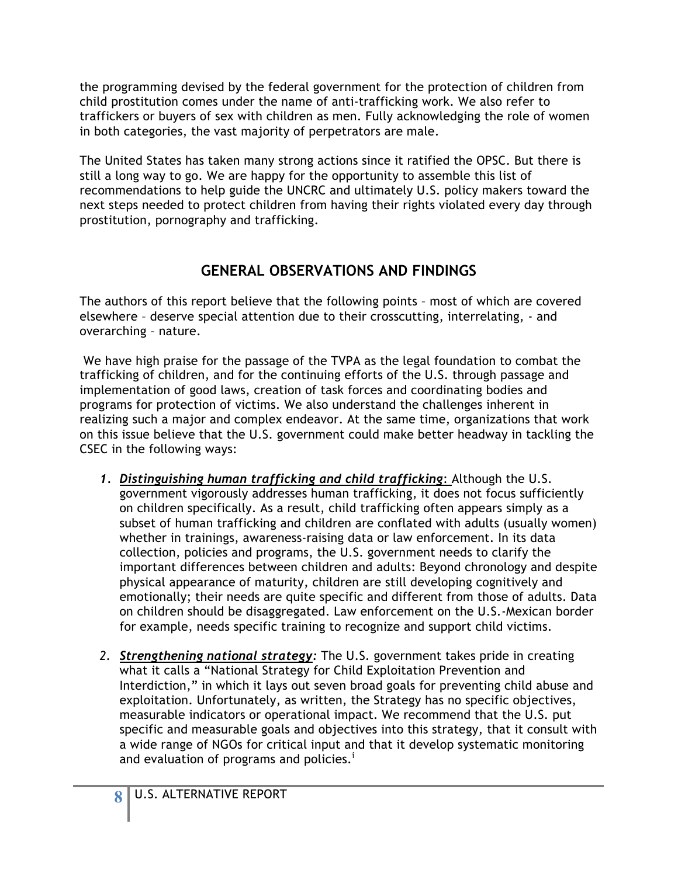the programming devised by the federal government for the protection of children from child prostitution comes under the name of anti-trafficking work. We also refer to traffickers or buyers of sex with children as men. Fully acknowledging the role of women in both categories, the vast majority of perpetrators are male.

The United States has taken many strong actions since it ratified the OPSC. But there is still a long way to go. We are happy for the opportunity to assemble this list of recommendations to help guide the UNCRC and ultimately U.S. policy makers toward the next steps needed to protect children from having their rights violated every day through prostitution, pornography and trafficking.

## **GENERAL OBSERVATIONS AND FINDINGS**

The authors of this report believe that the following points – most of which are covered elsewhere – deserve special attention due to their crosscutting, interrelating, - and overarching – nature.

 We have high praise for the passage of the TVPA as the legal foundation to combat the trafficking of children, and for the continuing efforts of the U.S. through passage and implementation of good laws, creation of task forces and coordinating bodies and programs for protection of victims. We also understand the challenges inherent in realizing such a major and complex endeavor. At the same time, organizations that work on this issue believe that the U.S. government could make better headway in tackling the CSEC in the following ways:

- *1. Distinguishing human trafficking and child trafficking*: Although the U.S. government vigorously addresses human trafficking, it does not focus sufficiently on children specifically. As a result, child trafficking often appears simply as a subset of human trafficking and children are conflated with adults (usually women) whether in trainings, awareness-raising data or law enforcement. In its data collection, policies and programs, the U.S. government needs to clarify the important differences between children and adults: Beyond chronology and despite physical appearance of maturity, children are still developing cognitively and emotionally; their needs are quite specific and different from those of adults. Data on children should be disaggregated. Law enforcement on the U.S.-Mexican border for example, needs specific training to recognize and support child victims.
- *2. Strengthening national strategy:* The U.S. government takes pride in creating what it calls a "National Strategy for Child Exploitation Prevention and Interdiction," in which it lays out seven broad goals for preventing child abuse and exploitation. Unfortunately, as written, the Strategy has no specific objectives, measurable indicators or operational impact. We recommend that the U.S. put specific and measurable goals and objectives into this strategy, that it consult with a wide range of NGOs for critical input and that it develop systematic monitoring and evaluation of programs and policies.<sup>1</sup>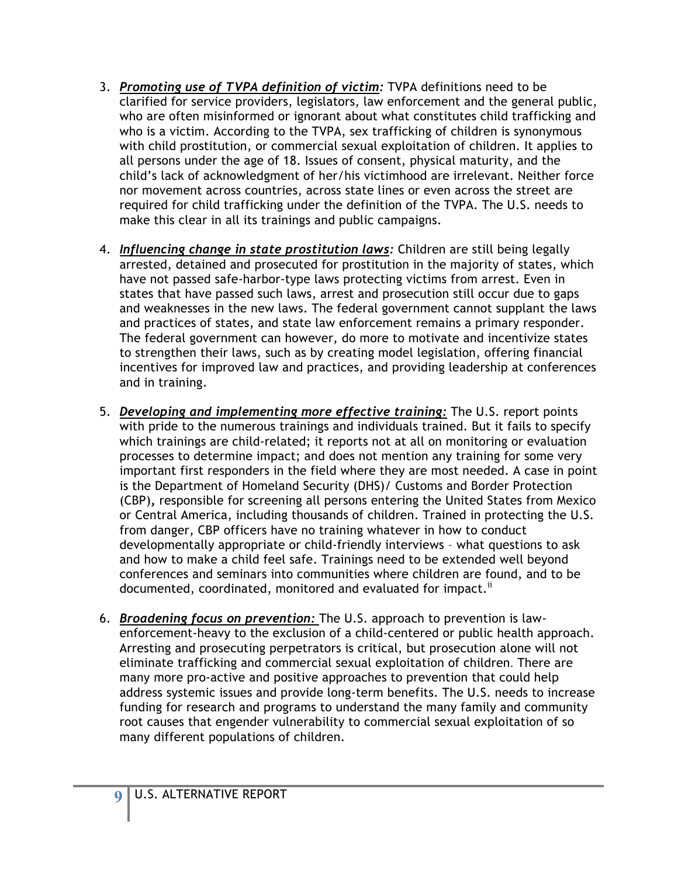- 3. *Promoting use of TVPA definition of victim:* TVPA definitions need to be clarified for service providers, legislators, law enforcement and the general public, who are often misinformed or ignorant about what constitutes child trafficking and who is a victim. According to the TVPA, sex trafficking of children is synonymous with child prostitution, or commercial sexual exploitation of children. It applies to all persons under the age of 18. Issues of consent, physical maturity, and the child's lack of acknowledgment of her/his victimhood are irrelevant. Neither force nor movement across countries, across state lines or even across the street are required for child trafficking under the definition of the TVPA. The U.S. needs to make this clear in all its trainings and public campaigns.
- 4. *Influencing change in state prostitution laws:* Children are still being legally arrested, detained and prosecuted for prostitution in the majority of states, which have not passed safe-harbor-type laws protecting victims from arrest. Even in states that have passed such laws, arrest and prosecution still occur due to gaps and weaknesses in the new laws. The federal government cannot supplant the laws and practices of states, and state law enforcement remains a primary responder. The federal government can however, do more to motivate and incentivize states to strengthen their laws, such as by creating model legislation, offering financial incentives for improved law and practices, and providing leadership at conferences and in training.
- 5. *Developing and implementing more effective training:* The U.S. report points with pride to the numerous trainings and individuals trained. But it fails to specify which trainings are child-related; it reports not at all on monitoring or evaluation processes to determine impact; and does not mention any training for some very important first responders in the field where they are most needed. A case in point is the Department of Homeland Security (DHS)/ Customs and Border Protection (CBP)**,** responsible for screening all persons entering the United States from Mexico or Central America, including thousands of children. Trained in protecting the U.S. from danger, CBP officers have no training whatever in how to conduct developmentally appropriate or child-friendly interviews – what questions to ask and how to make a child feel safe. Trainings need to be extended well beyond conferences and seminars into communities where children are found, and to be documented, coordinated, monitored and evaluated for impact.<sup>ii</sup>
- 6. *Broadening focus on prevention:* The U.S. approach to prevention is lawenforcement-heavy to the exclusion of a child-centered or public health approach. Arresting and prosecuting perpetrators is critical, but prosecution alone will not eliminate trafficking and commercial sexual exploitation of children. There are many more pro-active and positive approaches to prevention that could help address systemic issues and provide long-term benefits. The U.S. needs to increase funding for research and programs to understand the many family and community root causes that engender vulnerability to commercial sexual exploitation of so many different populations of children.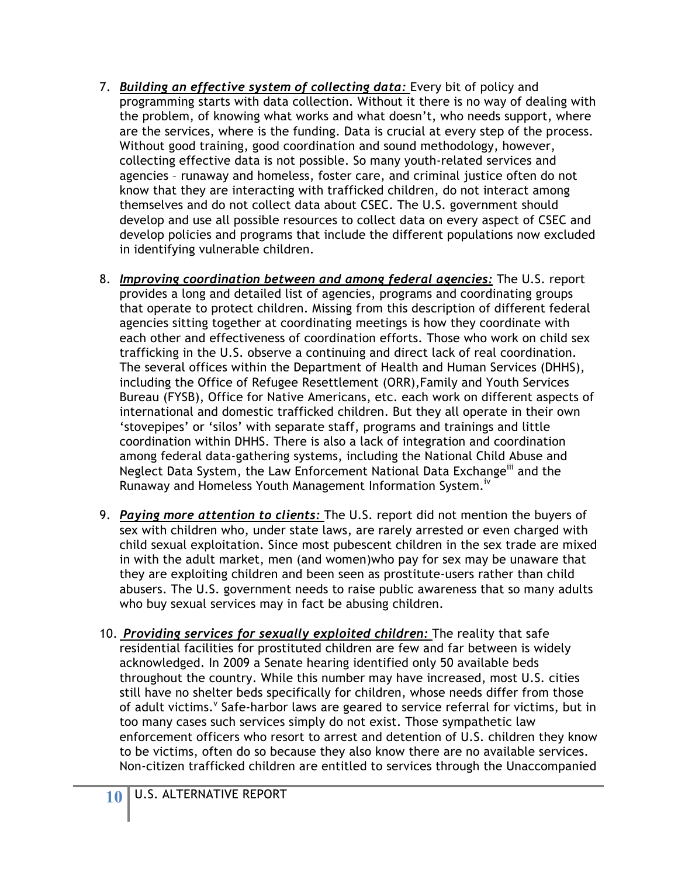- 7. *Building an effective system of collecting data:* Every bit of policy and programming starts with data collection. Without it there is no way of dealing with the problem, of knowing what works and what doesn't, who needs support, where are the services, where is the funding. Data is crucial at every step of the process. Without good training, good coordination and sound methodology, however, collecting effective data is not possible. So many youth-related services and agencies – runaway and homeless, foster care, and criminal justice often do not know that they are interacting with trafficked children, do not interact among themselves and do not collect data about CSEC. The U.S. government should develop and use all possible resources to collect data on every aspect of CSEC and develop policies and programs that include the different populations now excluded in identifying vulnerable children.
- 8. *Improving coordination between and among federal agencies:* The U.S. report provides a long and detailed list of agencies, programs and coordinating groups that operate to protect children. Missing from this description of different federal agencies sitting together at coordinating meetings is how they coordinate with each other and effectiveness of coordination efforts. Those who work on child sex trafficking in the U.S. observe a continuing and direct lack of real coordination. The several offices within the Department of Health and Human Services (DHHS), including the Office of Refugee Resettlement (ORR),Family and Youth Services Bureau (FYSB), Office for Native Americans, etc. each work on different aspects of international and domestic trafficked children. But they all operate in their own 'stovepipes' or 'silos' with separate staff, programs and trainings and little coordination within DHHS. There is also a lack of integration and coordination among federal data-gathering systems, including the National Child Abuse and Neglect Data System, the Law Enforcement National Data Exchange<sup>iii</sup> and the Runaway and Homeless Youth Management Information System.<sup>iv</sup>
- 9. *Paying more attention to clients:* The U.S. report did not mention the buyers of sex with children who, under state laws, are rarely arrested or even charged with child sexual exploitation. Since most pubescent children in the sex trade are mixed in with the adult market, men (and women)who pay for sex may be unaware that they are exploiting children and been seen as prostitute-users rather than child abusers. The U.S. government needs to raise public awareness that so many adults who buy sexual services may in fact be abusing children.
- 10. *Providing services for sexually exploited children:* The reality that safe residential facilities for prostituted children are few and far between is widely acknowledged. In 2009 a Senate hearing identified only 50 available beds throughout the country. While this number may have increased, most U.S. cities still have no shelter beds specifically for children, whose needs differ from those of adult victims.<sup>V</sup> Safe-harbor laws are geared to service referral for victims, but in too many cases such services simply do not exist. Those sympathetic law enforcement officers who resort to arrest and detention of U.S. children they know to be victims, often do so because they also know there are no available services. Non-citizen trafficked children are entitled to services through the Unaccompanied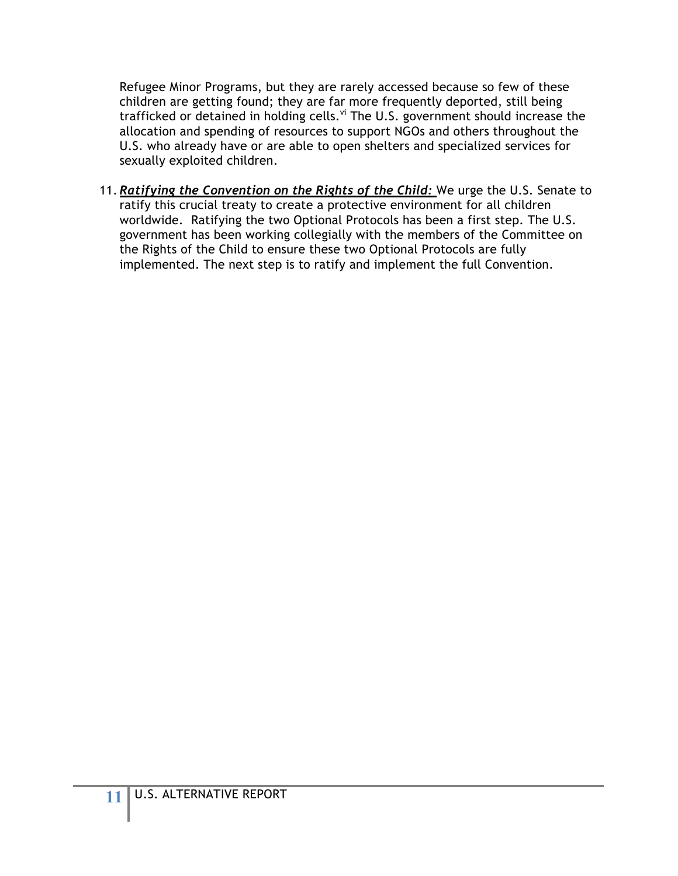Refugee Minor Programs, but they are rarely accessed because so few of these children are getting found; they are far more frequently deported, still being trafficked or detained in holding cells.<sup>vi</sup> The U.S. government should increase the allocation and spending of resources to support NGOs and others throughout the U.S. who already have or are able to open shelters and specialized services for sexually exploited children.

11. *Ratifying the Convention on the Rights of the Child:* We urge the U.S. Senate to ratify this crucial treaty to create a protective environment for all children worldwide. Ratifying the two Optional Protocols has been a first step. The U.S. government has been working collegially with the members of the Committee on the Rights of the Child to ensure these two Optional Protocols are fully implemented. The next step is to ratify and implement the full Convention.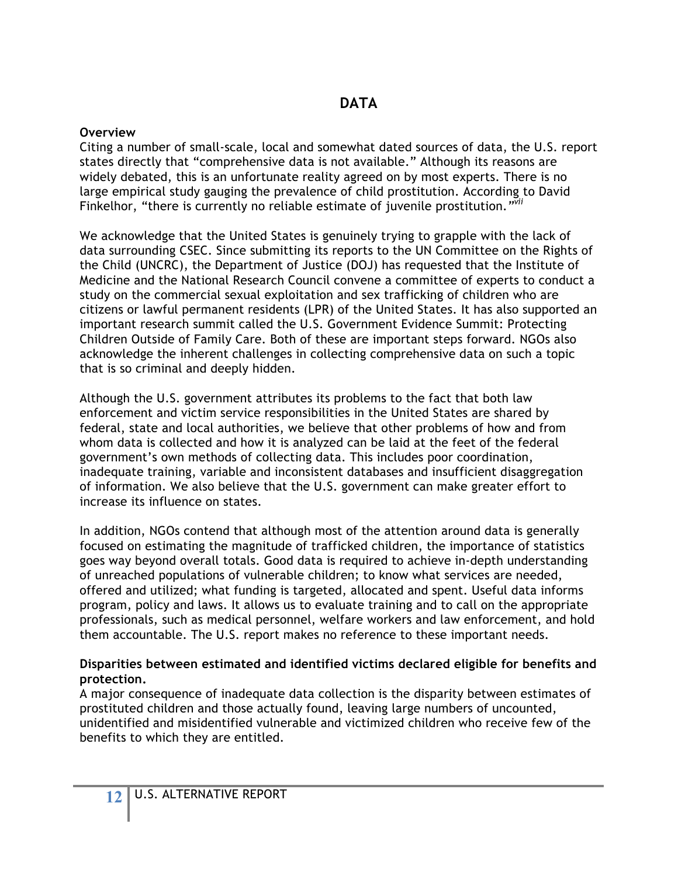#### **Overview**

Citing a number of small-scale, local and somewhat dated sources of data, the U.S. report states directly that "comprehensive data is not available." Although its reasons are widely debated, this is an unfortunate reality agreed on by most experts. There is no large empirical study gauging the prevalence of child prostitution. According to David Finkelhor, "there is currently no reliable estimate of juvenile prostitution.*"vii*

We acknowledge that the United States is genuinely trying to grapple with the lack of data surrounding CSEC. Since submitting its reports to the UN Committee on the Rights of the Child (UNCRC), the Department of Justice (DOJ) has requested that the Institute of Medicine and the National Research Council convene a committee of experts to conduct a study on the commercial sexual exploitation and sex trafficking of children who are citizens or lawful permanent residents (LPR) of the United States. It has also supported an important research summit called the U.S. Government Evidence Summit: Protecting Children Outside of Family Care. Both of these are important steps forward. NGOs also acknowledge the inherent challenges in collecting comprehensive data on such a topic that is so criminal and deeply hidden.

Although the U.S. government attributes its problems to the fact that both law enforcement and victim service responsibilities in the United States are shared by federal, state and local authorities, we believe that other problems of how and from whom data is collected and how it is analyzed can be laid at the feet of the federal government's own methods of collecting data. This includes poor coordination, inadequate training, variable and inconsistent databases and insufficient disaggregation of information. We also believe that the U.S. government can make greater effort to increase its influence on states.

In addition, NGOs contend that although most of the attention around data is generally focused on estimating the magnitude of trafficked children, the importance of statistics goes way beyond overall totals. Good data is required to achieve in-depth understanding of unreached populations of vulnerable children; to know what services are needed, offered and utilized; what funding is targeted, allocated and spent. Useful data informs program, policy and laws. It allows us to evaluate training and to call on the appropriate professionals, such as medical personnel, welfare workers and law enforcement, and hold them accountable. The U.S. report makes no reference to these important needs.

#### **Disparities between estimated and identified victims declared eligible for benefits and protection.**

A major consequence of inadequate data collection is the disparity between estimates of prostituted children and those actually found, leaving large numbers of uncounted, unidentified and misidentified vulnerable and victimized children who receive few of the benefits to which they are entitled.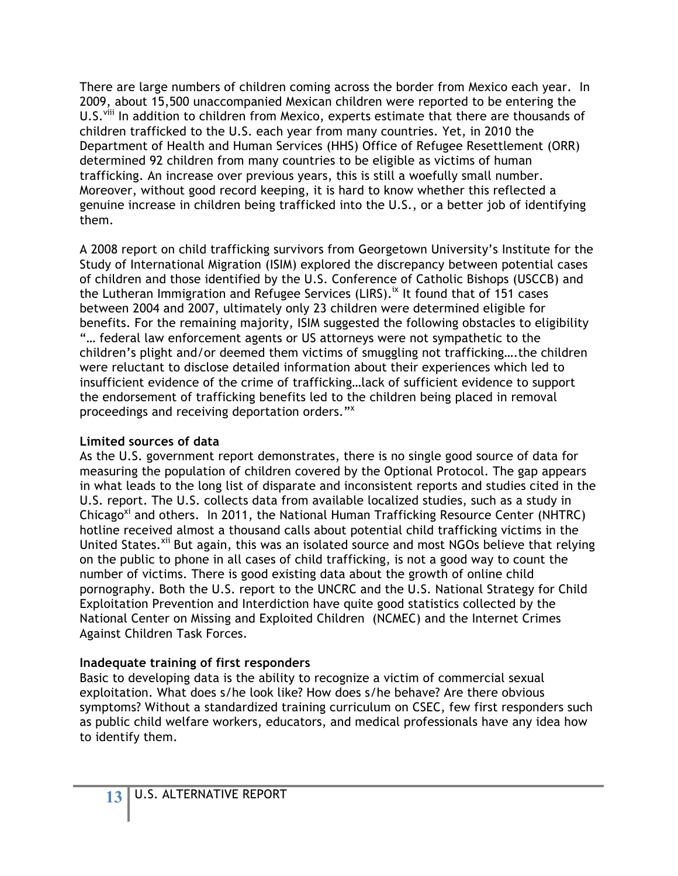There are large numbers of children coming across the border from Mexico each year. In 2009, about 15,500 unaccompanied Mexican children were reported to be entering the U.S.<sup>viii</sup> In addition to children from Mexico, experts estimate that there are thousands of children trafficked to the U.S. each year from many countries. Yet, in 2010 the Department of Health and Human Services (HHS) Office of Refugee Resettlement (ORR) determined 92 children from many countries to be eligible as victims of human trafficking. An increase over previous years, this is still a woefully small number. Moreover, without good record keeping, it is hard to know whether this reflected a genuine increase in children being trafficked into the U.S., or a better job of identifying them.

A 2008 report on child trafficking survivors from Georgetown University's Institute for the Study of International Migration (ISIM) explored the discrepancy between potential cases of children and those identified by the U.S. Conference of Catholic Bishops (USCCB) and the Lutheran Immigration and Refugee Services (LIRS).<sup>ix</sup> It found that of 151 cases between 2004 and 2007, ultimately only 23 children were determined eligible for benefits. For the remaining majority, ISIM suggested the following obstacles to eligibility "… federal law enforcement agents or US attorneys were not sympathetic to the children's plight and/or deemed them victims of smuggling not trafficking….the children were reluctant to disclose detailed information about their experiences which led to insufficient evidence of the crime of trafficking…lack of sufficient evidence to support the endorsement of trafficking benefits led to the children being placed in removal proceedings and receiving deportation orders."<sup>x</sup>

#### **Limited sources of data**

As the U.S. government report demonstrates, there is no single good source of data for measuring the population of children covered by the Optional Protocol. The gap appears in what leads to the long list of disparate and inconsistent reports and studies cited in the U.S. report. The U.S. collects data from available localized studies, such as a study in Chicago<sup>xi</sup> and others. In 2011, the National Human Trafficking Resource Center (NHTRC) hotline received almost a thousand calls about potential child trafficking victims in the United States.<sup>xii</sup> But again, this was an isolated source and most NGOs believe that relying on the public to phone in all cases of child trafficking, is not a good way to count the number of victims. There is good existing data about the growth of online child pornography. Both the U.S. report to the UNCRC and the U.S. National Strategy for Child Exploitation Prevention and Interdiction have quite good statistics collected by the National Center on Missing and Exploited Children (NCMEC) and the Internet Crimes Against Children Task Forces.

### **Inadequate training of first responders**

Basic to developing data is the ability to recognize a victim of commercial sexual exploitation. What does s/he look like? How does s/he behave? Are there obvious symptoms? Without a standardized training curriculum on CSEC, few first responders such as public child welfare workers, educators, and medical professionals have any idea how to identify them.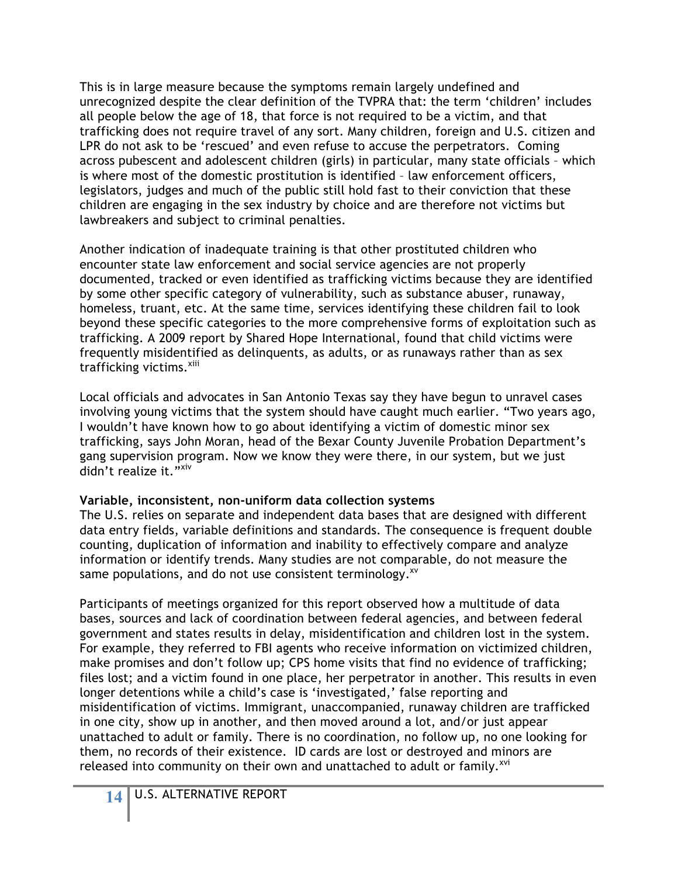This is in large measure because the symptoms remain largely undefined and unrecognized despite the clear definition of the TVPRA that: the term 'children' includes all people below the age of 18, that force is not required to be a victim, and that trafficking does not require travel of any sort. Many children, foreign and U.S. citizen and LPR do not ask to be 'rescued' and even refuse to accuse the perpetrators. Coming across pubescent and adolescent children (girls) in particular, many state officials – which is where most of the domestic prostitution is identified – law enforcement officers, legislators, judges and much of the public still hold fast to their conviction that these children are engaging in the sex industry by choice and are therefore not victims but lawbreakers and subject to criminal penalties.

Another indication of inadequate training is that other prostituted children who encounter state law enforcement and social service agencies are not properly documented, tracked or even identified as trafficking victims because they are identified by some other specific category of vulnerability, such as substance abuser, runaway, homeless, truant, etc. At the same time, services identifying these children fail to look beyond these specific categories to the more comprehensive forms of exploitation such as trafficking. A 2009 report by Shared Hope International, found that child victims were frequently misidentified as delinquents, as adults, or as runaways rather than as sex trafficking victims.<sup>xiii</sup>

Local officials and advocates in San Antonio Texas say they have begun to unravel cases involving young victims that the system should have caught much earlier. "Two years ago, I wouldn't have known how to go about identifying a victim of domestic minor sex trafficking, says John Moran, head of the Bexar County Juvenile Probation Department's gang supervision program. Now we know they were there, in our system, but we just didn't realize it."xiv

#### **Variable, inconsistent, non-uniform data collection systems**

The U.S. relies on separate and independent data bases that are designed with different data entry fields, variable definitions and standards. The consequence is frequent double counting, duplication of information and inability to effectively compare and analyze information or identify trends. Many studies are not comparable, do not measure the same populations, and do not use consistent terminology.<sup>xv</sup>

Participants of meetings organized for this report observed how a multitude of data bases, sources and lack of coordination between federal agencies, and between federal government and states results in delay, misidentification and children lost in the system. For example, they referred to FBI agents who receive information on victimized children, make promises and don't follow up; CPS home visits that find no evidence of trafficking; files lost; and a victim found in one place, her perpetrator in another. This results in even longer detentions while a child's case is 'investigated,' false reporting and misidentification of victims. Immigrant, unaccompanied, runaway children are trafficked in one city, show up in another, and then moved around a lot, and/or just appear unattached to adult or family. There is no coordination, no follow up, no one looking for them, no records of their existence. ID cards are lost or destroyed and minors are released into community on their own and unattached to adult or family.<sup>xvi</sup>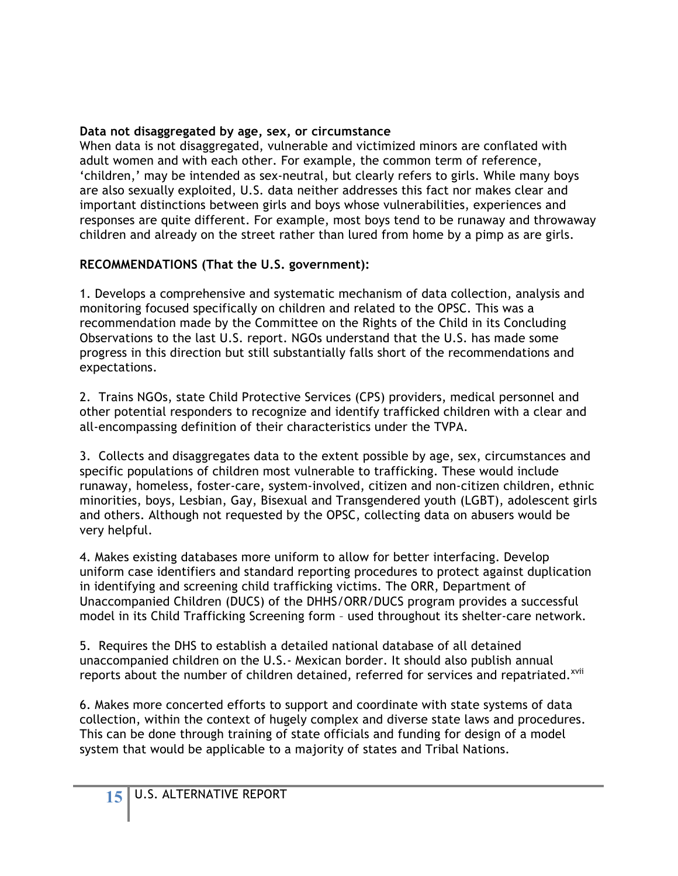### **Data not disaggregated by age, sex, or circumstance**

When data is not disaggregated, vulnerable and victimized minors are conflated with adult women and with each other. For example, the common term of reference, 'children,' may be intended as sex-neutral, but clearly refers to girls. While many boys are also sexually exploited, U.S. data neither addresses this fact nor makes clear and important distinctions between girls and boys whose vulnerabilities, experiences and responses are quite different. For example, most boys tend to be runaway and throwaway children and already on the street rather than lured from home by a pimp as are girls.

### **RECOMMENDATIONS (That the U.S. government):**

1. Develops a comprehensive and systematic mechanism of data collection, analysis and monitoring focused specifically on children and related to the OPSC. This was a recommendation made by the Committee on the Rights of the Child in its Concluding Observations to the last U.S. report. NGOs understand that the U.S. has made some progress in this direction but still substantially falls short of the recommendations and expectations.

2. Trains NGOs, state Child Protective Services (CPS) providers, medical personnel and other potential responders to recognize and identify trafficked children with a clear and all-encompassing definition of their characteristics under the TVPA.

3. Collects and disaggregates data to the extent possible by age, sex, circumstances and specific populations of children most vulnerable to trafficking. These would include runaway, homeless, foster-care, system-involved, citizen and non-citizen children, ethnic minorities, boys, Lesbian, Gay, Bisexual and Transgendered youth (LGBT), adolescent girls and others. Although not requested by the OPSC, collecting data on abusers would be very helpful.

4. Makes existing databases more uniform to allow for better interfacing. Develop uniform case identifiers and standard reporting procedures to protect against duplication in identifying and screening child trafficking victims. The ORR, Department of Unaccompanied Children (DUCS) of the DHHS/ORR/DUCS program provides a successful model in its Child Trafficking Screening form – used throughout its shelter-care network.

5. Requires the DHS to establish a detailed national database of all detained unaccompanied children on the U.S.- Mexican border. It should also publish annual reports about the number of children detained, referred for services and repatriated.<sup>xvii</sup>

6. Makes more concerted efforts to support and coordinate with state systems of data collection, within the context of hugely complex and diverse state laws and procedures. This can be done through training of state officials and funding for design of a model system that would be applicable to a majority of states and Tribal Nations.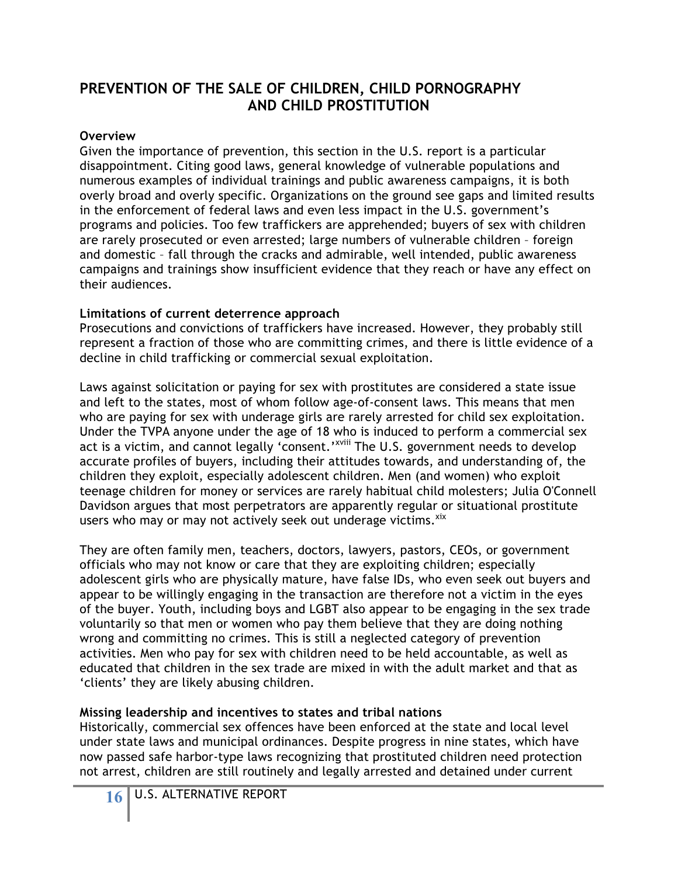## **PREVENTION OF THE SALE OF CHILDREN, CHILD PORNOGRAPHY AND CHILD PROSTITUTION**

#### **Overview**

Given the importance of prevention, this section in the U.S. report is a particular disappointment. Citing good laws, general knowledge of vulnerable populations and numerous examples of individual trainings and public awareness campaigns, it is both overly broad and overly specific. Organizations on the ground see gaps and limited results in the enforcement of federal laws and even less impact in the U.S. government's programs and policies. Too few traffickers are apprehended; buyers of sex with children are rarely prosecuted or even arrested; large numbers of vulnerable children – foreign and domestic – fall through the cracks and admirable, well intended, public awareness campaigns and trainings show insufficient evidence that they reach or have any effect on their audiences.

### **Limitations of current deterrence approach**

Prosecutions and convictions of traffickers have increased. However, they probably still represent a fraction of those who are committing crimes, and there is little evidence of a decline in child trafficking or commercial sexual exploitation.

Laws against solicitation or paying for sex with prostitutes are considered a state issue and left to the states, most of whom follow age-of-consent laws. This means that men who are paying for sex with underage girls are rarely arrested for child sex exploitation. Under the TVPA anyone under the age of 18 who is induced to perform a commercial sex act is a victim, and cannot legally 'consent.'<sup>xviii</sup> The U.S. government needs to develop accurate profiles of buyers, including their attitudes towards, and understanding of, the children they exploit, especially adolescent children. Men (and women) who exploit teenage children for money or services are rarely habitual child molesters; Julia O'Connell Davidson argues that most perpetrators are apparently regular or situational prostitute users who may or may not actively seek out underage victims.<sup>xix</sup>

They are often family men, teachers, doctors, lawyers, pastors, CEOs, or government officials who may not know or care that they are exploiting children; especially adolescent girls who are physically mature, have false IDs, who even seek out buyers and appear to be willingly engaging in the transaction are therefore not a victim in the eyes of the buyer. Youth, including boys and LGBT also appear to be engaging in the sex trade voluntarily so that men or women who pay them believe that they are doing nothing wrong and committing no crimes. This is still a neglected category of prevention activities. Men who pay for sex with children need to be held accountable, as well as educated that children in the sex trade are mixed in with the adult market and that as 'clients' they are likely abusing children.

### **Missing leadership and incentives to states and tribal nations**

Historically, commercial sex offences have been enforced at the state and local level under state laws and municipal ordinances. Despite progress in nine states, which have now passed safe harbor-type laws recognizing that prostituted children need protection not arrest, children are still routinely and legally arrested and detained under current

**16** U.S. ALTERNATIVE REPORT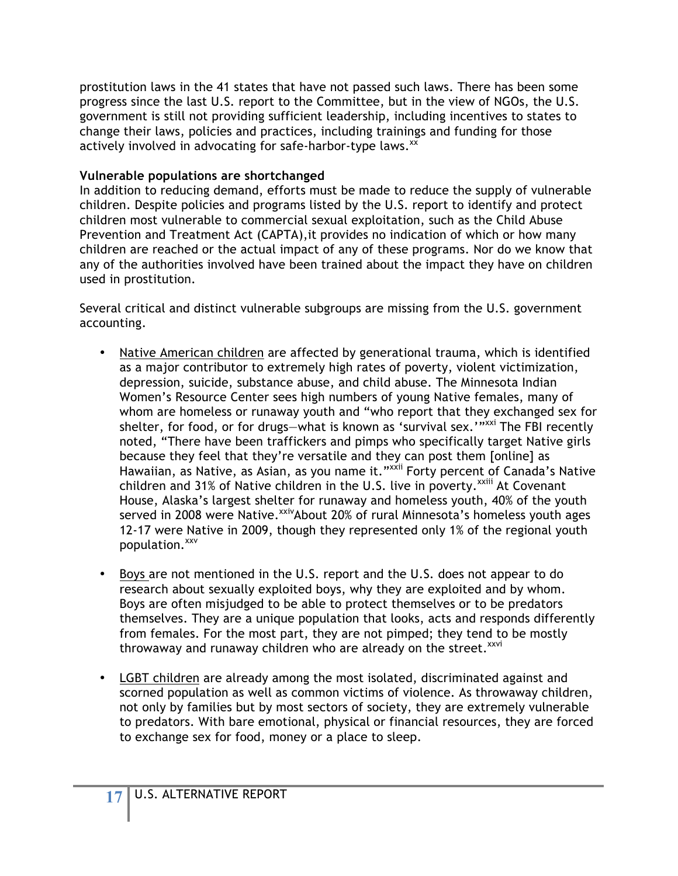prostitution laws in the 41 states that have not passed such laws. There has been some progress since the last U.S. report to the Committee, but in the view of NGOs, the U.S. government is still not providing sufficient leadership, including incentives to states to change their laws, policies and practices, including trainings and funding for those actively involved in advocating for safe-harbor-type laws.<sup>xx</sup>

#### **Vulnerable populations are shortchanged**

In addition to reducing demand, efforts must be made to reduce the supply of vulnerable children. Despite policies and programs listed by the U.S. report to identify and protect children most vulnerable to commercial sexual exploitation, such as the Child Abuse Prevention and Treatment Act (CAPTA),it provides no indication of which or how many children are reached or the actual impact of any of these programs. Nor do we know that any of the authorities involved have been trained about the impact they have on children used in prostitution.

Several critical and distinct vulnerable subgroups are missing from the U.S. government accounting.

- Native American children are affected by generational trauma, which is identified as a major contributor to extremely high rates of poverty, violent victimization, depression, suicide, substance abuse, and child abuse. The Minnesota Indian Women's Resource Center sees high numbers of young Native females, many of whom are homeless or runaway youth and "who report that they exchanged sex for shelter, for food, or for drugs—what is known as 'survival sex.'"xxi The FBI recently noted, "There have been traffickers and pimps who specifically target Native girls because they feel that they're versatile and they can post them [online] as Hawaiian, as Native, as Asian, as you name it."<sup>xxii</sup> Forty percent of Canada's Native children and 31% of Native children in the U.S. live in poverty.<sup>xxiii</sup> At Covenant House, Alaska's largest shelter for runaway and homeless youth, 40% of the youth served in 2008 were Native. XXIV About 20% of rural Minnesota's homeless youth ages 12-17 were Native in 2009, though they represented only 1% of the regional youth population. xxv
- Boys are not mentioned in the U.S. report and the U.S. does not appear to do research about sexually exploited boys, why they are exploited and by whom. Boys are often misjudged to be able to protect themselves or to be predators themselves. They are a unique population that looks, acts and responds differently from females. For the most part, they are not pimped; they tend to be mostly throwaway and runaway children who are already on the street.<sup>xxvi</sup>
- LGBT children are already among the most isolated, discriminated against and scorned population as well as common victims of violence. As throwaway children, not only by families but by most sectors of society, they are extremely vulnerable to predators. With bare emotional, physical or financial resources, they are forced to exchange sex for food, money or a place to sleep.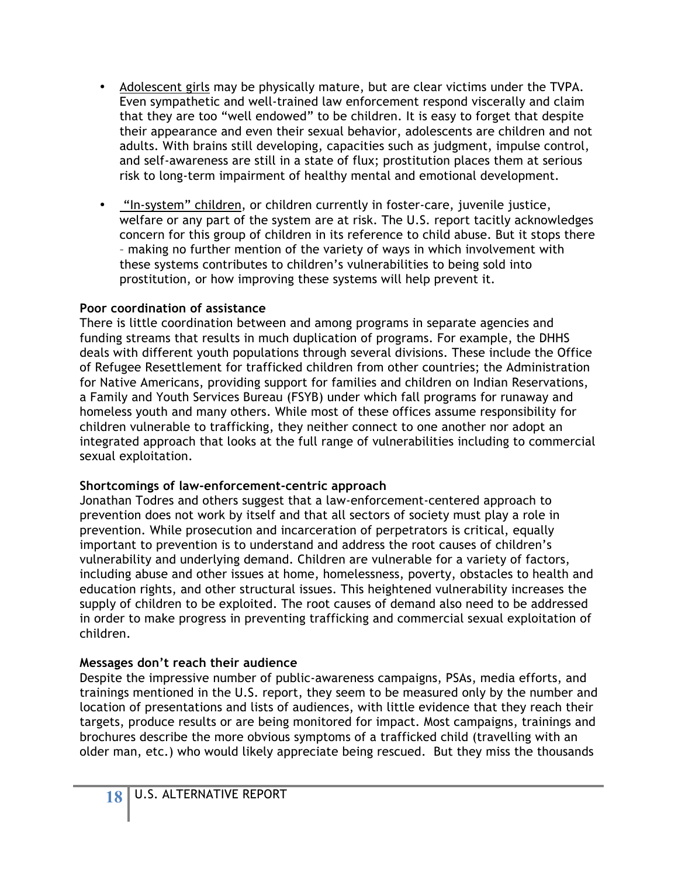- Adolescent girls may be physically mature, but are clear victims under the TVPA. Even sympathetic and well-trained law enforcement respond viscerally and claim that they are too "well endowed" to be children. It is easy to forget that despite their appearance and even their sexual behavior, adolescents are children and not adults. With brains still developing, capacities such as judgment, impulse control, and self-awareness are still in a state of flux; prostitution places them at serious risk to long-term impairment of healthy mental and emotional development.
- "In-system" children, or children currently in foster-care, juvenile justice, welfare or any part of the system are at risk. The U.S. report tacitly acknowledges concern for this group of children in its reference to child abuse. But it stops there – making no further mention of the variety of ways in which involvement with these systems contributes to children's vulnerabilities to being sold into prostitution, or how improving these systems will help prevent it.

#### **Poor coordination of assistance**

There is little coordination between and among programs in separate agencies and funding streams that results in much duplication of programs. For example, the DHHS deals with different youth populations through several divisions. These include the Office of Refugee Resettlement for trafficked children from other countries; the Administration for Native Americans, providing support for families and children on Indian Reservations, a Family and Youth Services Bureau (FSYB) under which fall programs for runaway and homeless youth and many others. While most of these offices assume responsibility for children vulnerable to trafficking, they neither connect to one another nor adopt an integrated approach that looks at the full range of vulnerabilities including to commercial sexual exploitation.

#### **Shortcomings of law-enforcement-centric approach**

Jonathan Todres and others suggest that a law-enforcement-centered approach to prevention does not work by itself and that all sectors of society must play a role in prevention. While prosecution and incarceration of perpetrators is critical, equally important to prevention is to understand and address the root causes of children's vulnerability and underlying demand. Children are vulnerable for a variety of factors, including abuse and other issues at home, homelessness, poverty, obstacles to health and education rights, and other structural issues. This heightened vulnerability increases the supply of children to be exploited. The root causes of demand also need to be addressed in order to make progress in preventing trafficking and commercial sexual exploitation of children.

### **Messages don't reach their audience**

Despite the impressive number of public-awareness campaigns, PSAs, media efforts, and trainings mentioned in the U.S. report, they seem to be measured only by the number and location of presentations and lists of audiences, with little evidence that they reach their targets, produce results or are being monitored for impact. Most campaigns, trainings and brochures describe the more obvious symptoms of a trafficked child (travelling with an older man, etc.) who would likely appreciate being rescued. But they miss the thousands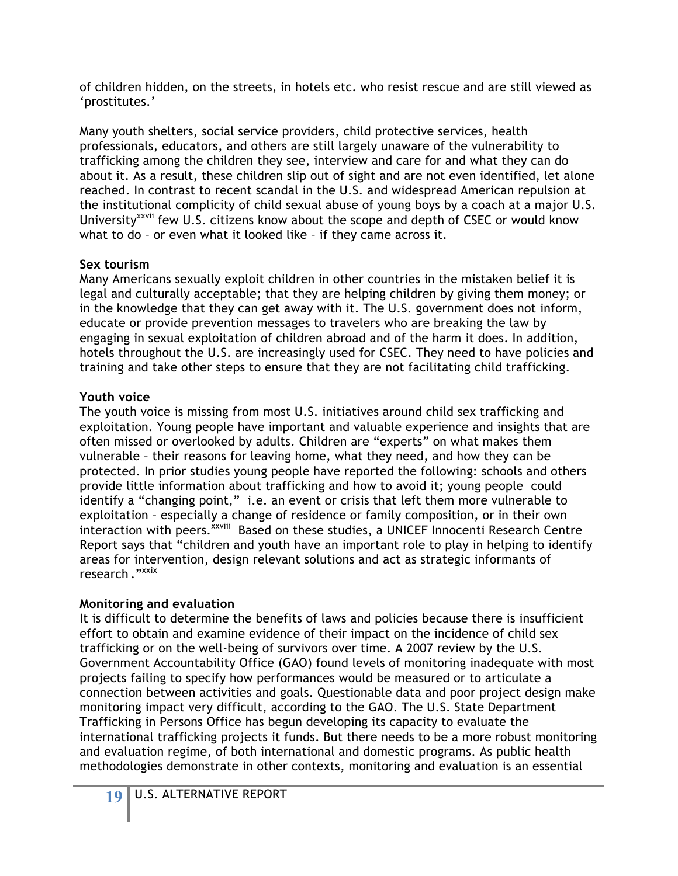of children hidden, on the streets, in hotels etc. who resist rescue and are still viewed as 'prostitutes.'

Many youth shelters, social service providers, child protective services, health professionals, educators, and others are still largely unaware of the vulnerability to trafficking among the children they see, interview and care for and what they can do about it. As a result, these children slip out of sight and are not even identified, let alone reached. In contrast to recent scandal in the U.S. and widespread American repulsion at the institutional complicity of child sexual abuse of young boys by a coach at a major U.S. University<sup>XXVii</sup> few U.S. citizens know about the scope and depth of CSEC or would know what to do – or even what it looked like – if they came across it.

### **Sex tourism**

Many Americans sexually exploit children in other countries in the mistaken belief it is legal and culturally acceptable; that they are helping children by giving them money; or in the knowledge that they can get away with it. The U.S. government does not inform, educate or provide prevention messages to travelers who are breaking the law by engaging in sexual exploitation of children abroad and of the harm it does. In addition, hotels throughout the U.S. are increasingly used for CSEC. They need to have policies and training and take other steps to ensure that they are not facilitating child trafficking.

### **Youth voice**

The youth voice is missing from most U.S. initiatives around child sex trafficking and exploitation*.* Young people have important and valuable experience and insights that are often missed or overlooked by adults. Children are "experts" on what makes them vulnerable – their reasons for leaving home, what they need, and how they can be protected. In prior studies young people have reported the following: schools and others provide little information about trafficking and how to avoid it; young people could identify a "changing point," i.e. an event or crisis that left them more vulnerable to exploitation – especially a change of residence or family composition, or in their own interaction with peers.<sup>xxviii</sup> Based on these studies, a UNICEF Innocenti Research Centre Report says that "children and youth have an important role to play in helping to identify areas for intervention, design relevant solutions and act as strategic informants of research ."<sup>xxix</sup>

### **Monitoring and evaluation**

It is difficult to determine the benefits of laws and policies because there is insufficient effort to obtain and examine evidence of their impact on the incidence of child sex trafficking or on the well-being of survivors over time. A 2007 review by the U.S. Government Accountability Office (GAO) found levels of monitoring inadequate with most projects failing to specify how performances would be measured or to articulate a connection between activities and goals. Questionable data and poor project design make monitoring impact very difficult, according to the GAO. The U.S. State Department Trafficking in Persons Office has begun developing its capacity to evaluate the international trafficking projects it funds. But there needs to be a more robust monitoring and evaluation regime, of both international and domestic programs. As public health methodologies demonstrate in other contexts, monitoring and evaluation is an essential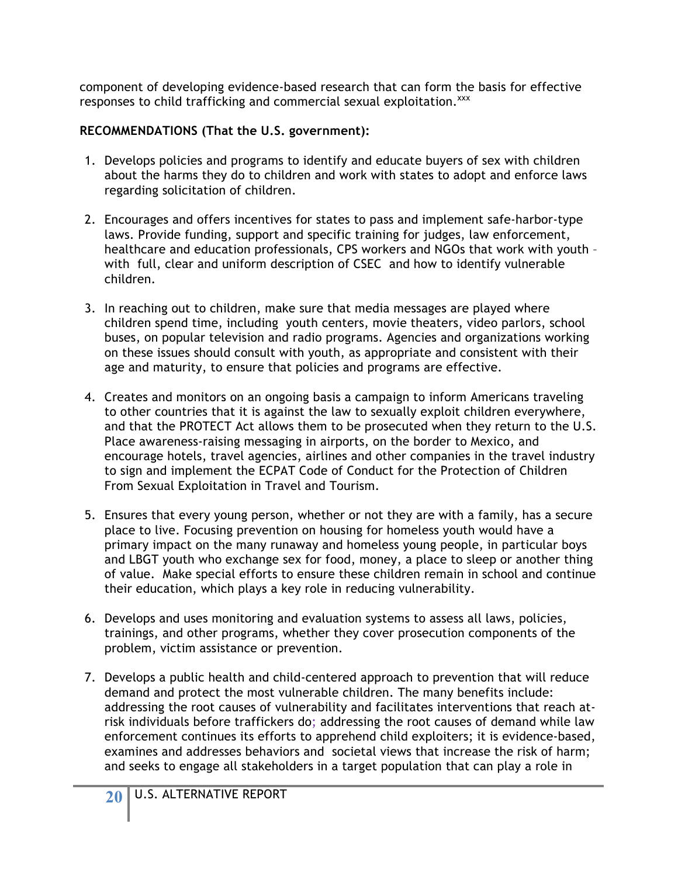component of developing evidence-based research that can form the basis for effective responses to child trafficking and commercial sexual exploitation.<sup>xxx</sup>

### **RECOMMENDATIONS (That the U.S. government):**

- 1. Develops policies and programs to identify and educate buyers of sex with children about the harms they do to children and work with states to adopt and enforce laws regarding solicitation of children.
- 2. Encourages and offers incentives for states to pass and implement safe-harbor-type laws. Provide funding, support and specific training for judges, law enforcement, healthcare and education professionals, CPS workers and NGOs that work with youth – with full, clear and uniform description of CSEC and how to identify vulnerable children.
- 3. In reaching out to children, make sure that media messages are played where children spend time, including youth centers, movie theaters, video parlors, school buses, on popular television and radio programs. Agencies and organizations working on these issues should consult with youth, as appropriate and consistent with their age and maturity, to ensure that policies and programs are effective.
- 4. Creates and monitors on an ongoing basis a campaign to inform Americans traveling to other countries that it is against the law to sexually exploit children everywhere, and that the PROTECT Act allows them to be prosecuted when they return to the U.S. Place awareness-raising messaging in airports, on the border to Mexico, and encourage hotels, travel agencies, airlines and other companies in the travel industry to sign and implement the ECPAT Code of Conduct for the Protection of Children From Sexual Exploitation in Travel and Tourism.
- 5. Ensures that every young person, whether or not they are with a family, has a secure place to live. Focusing prevention on housing for homeless youth would have a primary impact on the many runaway and homeless young people, in particular boys and LBGT youth who exchange sex for food, money, a place to sleep or another thing of value. Make special efforts to ensure these children remain in school and continue their education, which plays a key role in reducing vulnerability.
- 6. Develops and uses monitoring and evaluation systems to assess all laws, policies, trainings, and other programs, whether they cover prosecution components of the problem, victim assistance or prevention.
- 7. Develops a public health and child-centered approach to prevention that will reduce demand and protect the most vulnerable children. The many benefits include: addressing the root causes of vulnerability and facilitates interventions that reach atrisk individuals before traffickers do; addressing the root causes of demand while law enforcement continues its efforts to apprehend child exploiters; it is evidence-based, examines and addresses behaviors and societal views that increase the risk of harm; and seeks to engage all stakeholders in a target population that can play a role in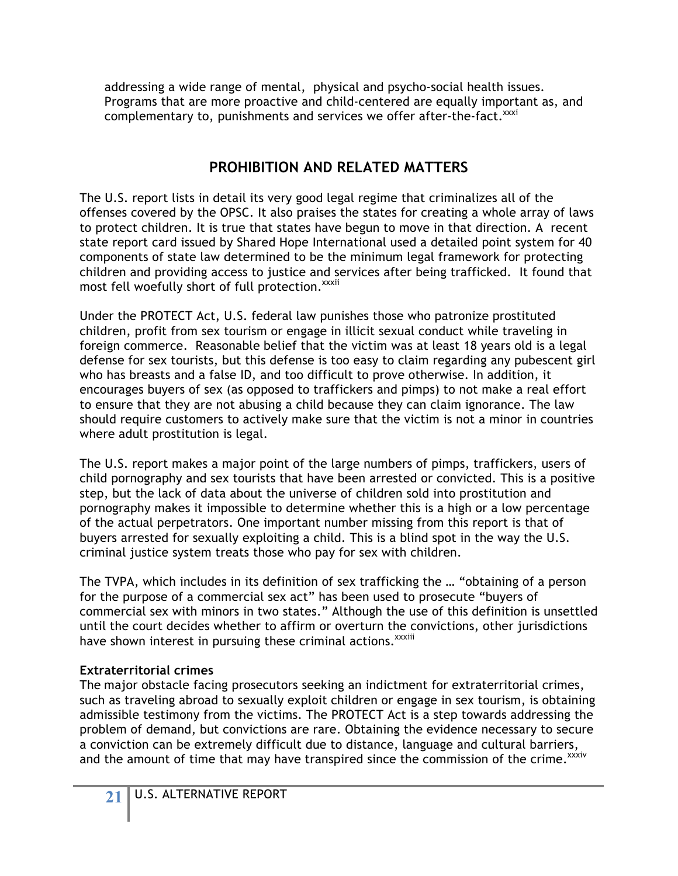addressing a wide range of mental, physical and psycho-social health issues. Programs that are more proactive and child-centered are equally important as, and complementary to, punishments and services we offer after-the-fact.<sup>xxxi</sup>

## **PROHIBITION AND RELATED MATTERS**

The U.S. report lists in detail its very good legal regime that criminalizes all of the offenses covered by the OPSC. It also praises the states for creating a whole array of laws to protect children. It is true that states have begun to move in that direction. A recent state report card issued by Shared Hope International used a detailed point system for 40 components of state law determined to be the minimum legal framework for protecting children and providing access to justice and services after being trafficked. It found that most fell woefully short of full protection. xxxii

Under the PROTECT Act, U.S. federal law punishes those who patronize prostituted children, profit from sex tourism or engage in illicit sexual conduct while traveling in foreign commerce. Reasonable belief that the victim was at least 18 years old is a legal defense for sex tourists, but this defense is too easy to claim regarding any pubescent girl who has breasts and a false ID, and too difficult to prove otherwise. In addition, it encourages buyers of sex (as opposed to traffickers and pimps) to not make a real effort to ensure that they are not abusing a child because they can claim ignorance. The law should require customers to actively make sure that the victim is not a minor in countries where adult prostitution is legal.

The U.S. report makes a major point of the large numbers of pimps, traffickers, users of child pornography and sex tourists that have been arrested or convicted. This is a positive step, but the lack of data about the universe of children sold into prostitution and pornography makes it impossible to determine whether this is a high or a low percentage of the actual perpetrators. One important number missing from this report is that of buyers arrested for sexually exploiting a child. This is a blind spot in the way the U.S. criminal justice system treats those who pay for sex with children.

The TVPA, which includes in its definition of sex trafficking the … "obtaining of a person for the purpose of a commercial sex act" has been used to prosecute "buyers of commercial sex with minors in two states." Although the use of this definition is unsettled until the court decides whether to affirm or overturn the convictions, other jurisdictions have shown interest in pursuing these criminal actions.<sup>xxxiii</sup>

### **Extraterritorial crimes**

The major obstacle facing prosecutors seeking an indictment for extraterritorial crimes, such as traveling abroad to sexually exploit children or engage in sex tourism, is obtaining admissible testimony from the victims. The PROTECT Act is a step towards addressing the problem of demand, but convictions are rare. Obtaining the evidence necessary to secure a conviction can be extremely difficult due to distance, language and cultural barriers, and the amount of time that may have transpired since the commission of the crime.<sup>xxxiv</sup>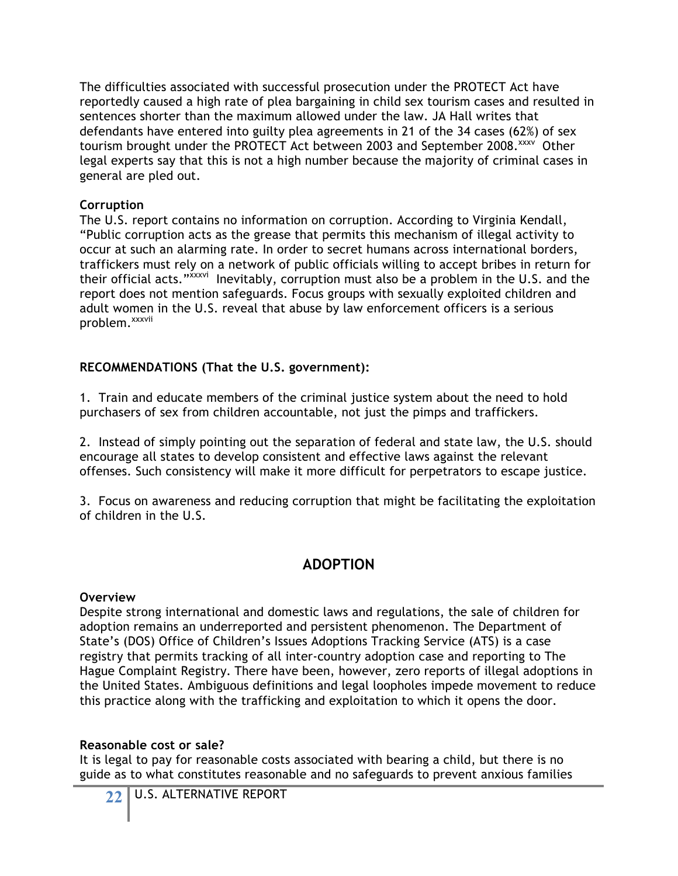The difficulties associated with successful prosecution under the PROTECT Act have reportedly caused a high rate of plea bargaining in child sex tourism cases and resulted in sentences shorter than the maximum allowed under the law. JA Hall writes that defendants have entered into guilty plea agreements in 21 of the 34 cases (62%) of sex tourism brought under the PROTECT Act between 2003 and September 2008.<sup>xxxv</sup> Other legal experts say that this is not a high number because the majority of criminal cases in general are pled out.

#### **Corruption**

The U.S. report contains no information on corruption. According to Virginia Kendall, "Public corruption acts as the grease that permits this mechanism of illegal activity to occur at such an alarming rate. In order to secret humans across international borders, traffickers must rely on a network of public officials willing to accept bribes in return for their official acts."xxxvi Inevitably, corruption must also be a problem in the U.S. and the report does not mention safeguards. Focus groups with sexually exploited children and adult women in the U.S. reveal that abuse by law enforcement officers is a serious problem.<sup>xxxvii</sup>

### **RECOMMENDATIONS (That the U.S. government):**

1. Train and educate members of the criminal justice system about the need to hold purchasers of sex from children accountable, not just the pimps and traffickers.

2. Instead of simply pointing out the separation of federal and state law, the U.S. should encourage all states to develop consistent and effective laws against the relevant offenses. Such consistency will make it more difficult for perpetrators to escape justice.

3. Focus on awareness and reducing corruption that might be facilitating the exploitation of children in the U.S.

## **ADOPTION**

#### **Overview**

Despite strong international and domestic laws and regulations, the sale of children for adoption remains an underreported and persistent phenomenon. The Department of State's (DOS) Office of Children's Issues Adoptions Tracking Service (ATS) is a case registry that permits tracking of all inter-country adoption case and reporting to The Hague Complaint Registry. There have been, however, zero reports of illegal adoptions in the United States. Ambiguous definitions and legal loopholes impede movement to reduce this practice along with the trafficking and exploitation to which it opens the door.

#### **Reasonable cost or sale?**

It is legal to pay for reasonable costs associated with bearing a child, but there is no guide as to what constitutes reasonable and no safeguards to prevent anxious families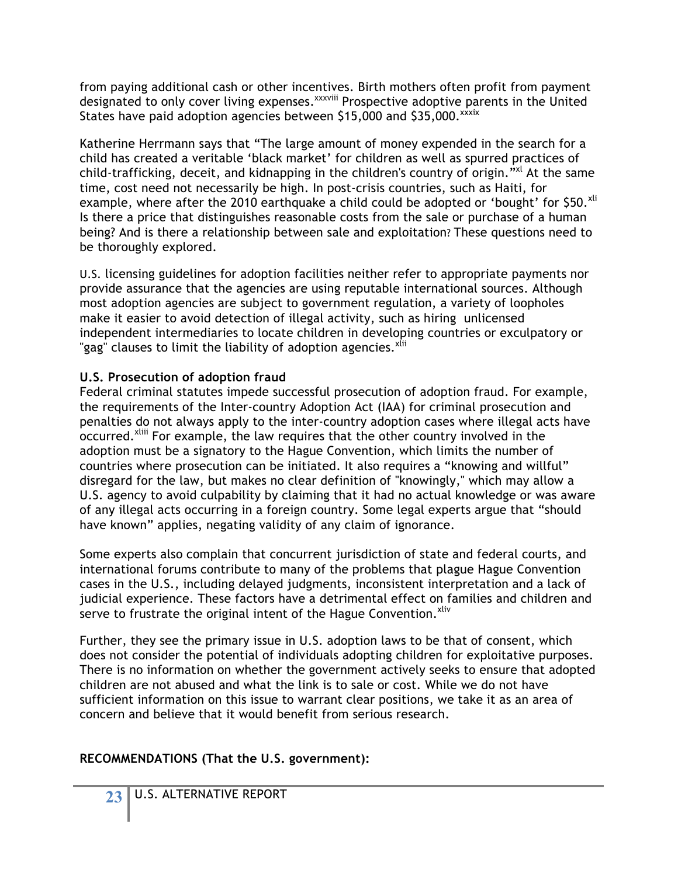from paying additional cash or other incentives. Birth mothers often profit from payment designated to only cover living expenses.<sup>xxxviii</sup> Prospective adoptive parents in the United States have paid adoption agencies between \$15,000 and \$35,000. XXXIX

Katherine Herrmann says that "The large amount of money expended in the search for a child has created a veritable 'black market' for children as well as spurred practices of child-trafficking, deceit, and kidnapping in the children's country of origin."<sup>xl</sup> At the same time, cost need not necessarily be high. In post-crisis countries, such as Haiti, for example, where after the 2010 earthquake a child could be adopted or 'bought' for \$50.<sup>xli</sup> Is there a price that distinguishes reasonable costs from the sale or purchase of a human being? And is there a relationship between sale and exploitation? These questions need to be thoroughly explored.

U.S. licensing guidelines for adoption facilities neither refer to appropriate payments nor provide assurance that the agencies are using reputable international sources. Although most adoption agencies are subject to government regulation, a variety of loopholes make it easier to avoid detection of illegal activity, such as hiring unlicensed independent intermediaries to locate children in developing countries or exculpatory or "gag" clauses to limit the liability of adoption agencies.<sup>xlii</sup>

### **U.S. Prosecution of adoption fraud**

Federal criminal statutes impede successful prosecution of adoption fraud. For example, the requirements of the Inter-country Adoption Act (IAA) for criminal prosecution and penalties do not always apply to the inter-country adoption cases where illegal acts have occurred.<sup>Xliii</sup> For example, the law requires that the other country involved in the adoption must be a signatory to the Hague Convention, which limits the number of countries where prosecution can be initiated. It also requires a "knowing and willful" disregard for the law, but makes no clear definition of "knowingly," which may allow a U.S. agency to avoid culpability by claiming that it had no actual knowledge or was aware of any illegal acts occurring in a foreign country. Some legal experts argue that "should have known" applies, negating validity of any claim of ignorance.

Some experts also complain that concurrent jurisdiction of state and federal courts, and international forums contribute to many of the problems that plague Hague Convention cases in the U.S., including delayed judgments, inconsistent interpretation and a lack of judicial experience. These factors have a detrimental effect on families and children and serve to frustrate the original intent of the Hague Convention.<sup>xliv</sup>

Further, they see the primary issue in U.S. adoption laws to be that of consent, which does not consider the potential of individuals adopting children for exploitative purposes. There is no information on whether the government actively seeks to ensure that adopted children are not abused and what the link is to sale or cost. While we do not have sufficient information on this issue to warrant clear positions, we take it as an area of concern and believe that it would benefit from serious research.

### **RECOMMENDATIONS (That the U.S. government):**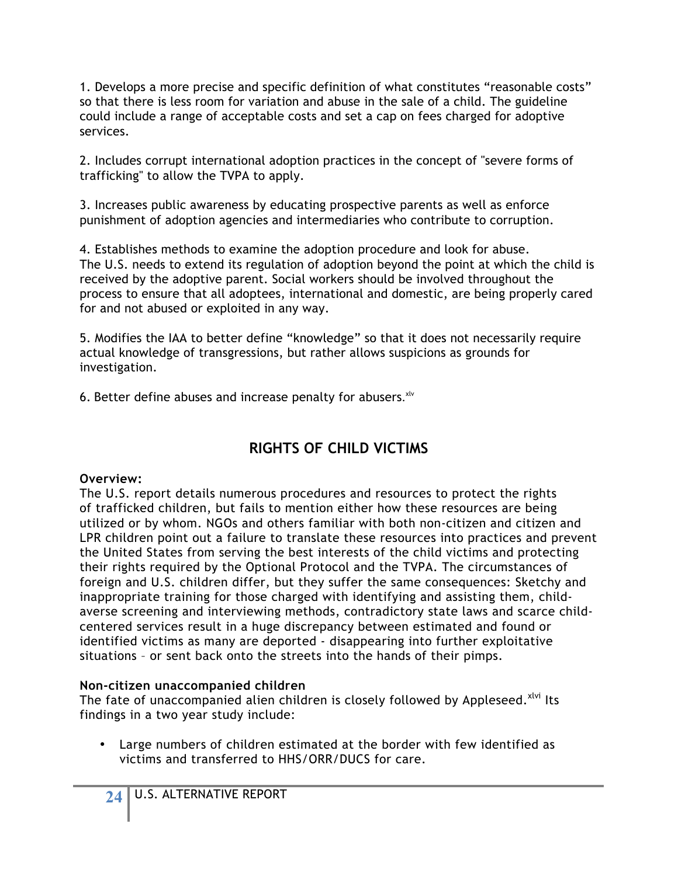1. Develops a more precise and specific definition of what constitutes "reasonable costs" so that there is less room for variation and abuse in the sale of a child. The guideline could include a range of acceptable costs and set a cap on fees charged for adoptive services.

2. Includes corrupt international adoption practices in the concept of "severe forms of trafficking" to allow the TVPA to apply.

3. Increases public awareness by educating prospective parents as well as enforce punishment of adoption agencies and intermediaries who contribute to corruption.

4. Establishes methods to examine the adoption procedure and look for abuse. The U.S. needs to extend its regulation of adoption beyond the point at which the child is received by the adoptive parent. Social workers should be involved throughout the process to ensure that all adoptees, international and domestic, are being properly cared for and not abused or exploited in any way.

5. Modifies the IAA to better define "knowledge" so that it does not necessarily require actual knowledge of transgressions, but rather allows suspicions as grounds for investigation.

6. Better define abuses and increase penalty for abusers. xlv

## **RIGHTS OF CHILD VICTIMS**

### **Overview:**

The U.S. report details numerous procedures and resources to protect the rights of trafficked children, but fails to mention either how these resources are being utilized or by whom. NGOs and others familiar with both non-citizen and citizen and LPR children point out a failure to translate these resources into practices and prevent the United States from serving the best interests of the child victims and protecting their rights required by the Optional Protocol and the TVPA. The circumstances of foreign and U.S. children differ, but they suffer the same consequences: Sketchy and inappropriate training for those charged with identifying and assisting them, childaverse screening and interviewing methods, contradictory state laws and scarce childcentered services result in a huge discrepancy between estimated and found or identified victims as many are deported - disappearing into further exploitative situations – or sent back onto the streets into the hands of their pimps.

#### **Non-citizen unaccompanied children**

The fate of unaccompanied alien children is closely followed by Appleseed.<sup>xlvi</sup> Its findings in a two year study include:

• Large numbers of children estimated at the border with few identified as victims and transferred to HHS/ORR/DUCS for care.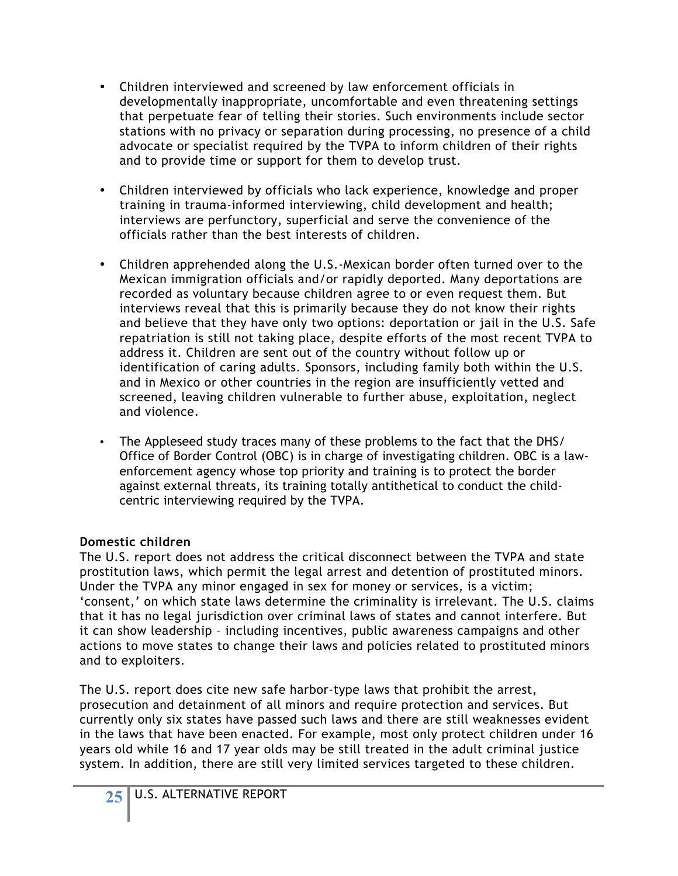- Children interviewed and screened by law enforcement officials in developmentally inappropriate, uncomfortable and even threatening settings that perpetuate fear of telling their stories. Such environments include sector stations with no privacy or separation during processing, no presence of a child advocate or specialist required by the TVPA to inform children of their rights and to provide time or support for them to develop trust.
- Children interviewed by officials who lack experience, knowledge and proper training in trauma-informed interviewing, child development and health; interviews are perfunctory, superficial and serve the convenience of the officials rather than the best interests of children.
- Children apprehended along the U.S.-Mexican border often turned over to the Mexican immigration officials and/or rapidly deported. Many deportations are recorded as voluntary because children agree to or even request them. But interviews reveal that this is primarily because they do not know their rights and believe that they have only two options: deportation or jail in the U.S. Safe repatriation is still not taking place, despite efforts of the most recent TVPA to address it. Children are sent out of the country without follow up or identification of caring adults. Sponsors, including family both within the U.S. and in Mexico or other countries in the region are insufficiently vetted and screened, leaving children vulnerable to further abuse, exploitation, neglect and violence.
- The Appleseed study traces many of these problems to the fact that the DHS/ Office of Border Control (OBC) is in charge of investigating children. OBC is a lawenforcement agency whose top priority and training is to protect the border against external threats, its training totally antithetical to conduct the childcentric interviewing required by the TVPA.

### **Domestic children**

The U.S. report does not address the critical disconnect between the TVPA and state prostitution laws, which permit the legal arrest and detention of prostituted minors. Under the TVPA any minor engaged in sex for money or services, is a victim; 'consent,' on which state laws determine the criminality is irrelevant. The U.S. claims that it has no legal jurisdiction over criminal laws of states and cannot interfere. But it can show leadership – including incentives, public awareness campaigns and other actions to move states to change their laws and policies related to prostituted minors and to exploiters.

The U.S. report does cite new safe harbor-type laws that prohibit the arrest, prosecution and detainment of all minors and require protection and services. But currently only six states have passed such laws and there are still weaknesses evident in the laws that have been enacted. For example, most only protect children under 16 years old while 16 and 17 year olds may be still treated in the adult criminal justice system. In addition, there are still very limited services targeted to these children.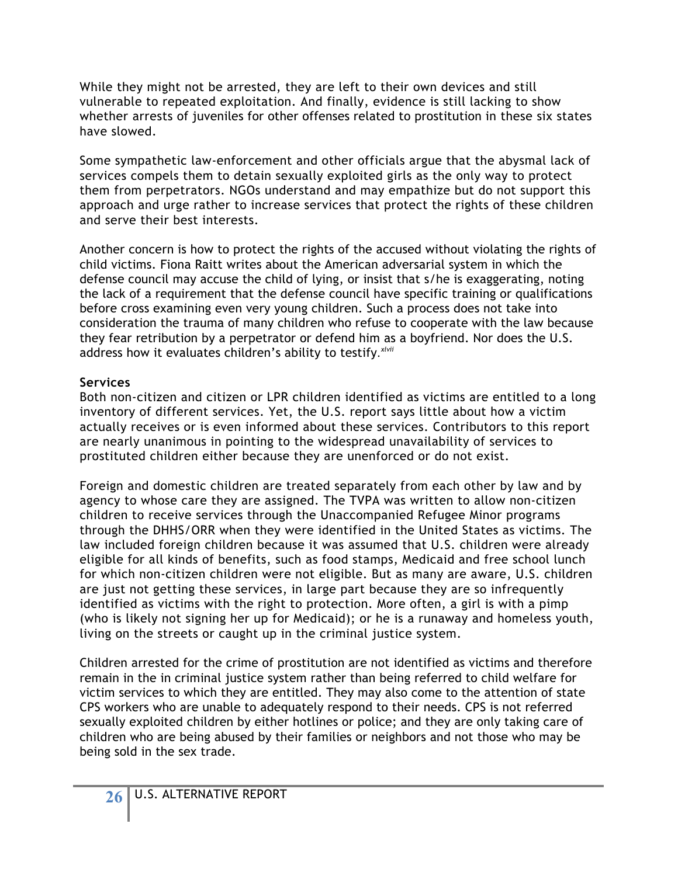While they might not be arrested, they are left to their own devices and still vulnerable to repeated exploitation. And finally, evidence is still lacking to show whether arrests of juveniles for other offenses related to prostitution in these six states have slowed.

Some sympathetic law-enforcement and other officials argue that the abysmal lack of services compels them to detain sexually exploited girls as the only way to protect them from perpetrators. NGOs understand and may empathize but do not support this approach and urge rather to increase services that protect the rights of these children and serve their best interests.

Another concern is how to protect the rights of the accused without violating the rights of child victims. Fiona Raitt writes about the American adversarial system in which the defense council may accuse the child of lying, or insist that s/he is exaggerating, noting the lack of a requirement that the defense council have specific training or qualifications before cross examining even very young children. Such a process does not take into consideration the trauma of many children who refuse to cooperate with the law because they fear retribution by a perpetrator or defend him as a boyfriend. Nor does the U.S. address how it evaluates children's ability to testify*. xlvii*

### **Services**

Both non-citizen and citizen or LPR children identified as victims are entitled to a long inventory of different services. Yet, the U.S. report says little about how a victim actually receives or is even informed about these services. Contributors to this report are nearly unanimous in pointing to the widespread unavailability of services to prostituted children either because they are unenforced or do not exist.

Foreign and domestic children are treated separately from each other by law and by agency to whose care they are assigned. The TVPA was written to allow non-citizen children to receive services through the Unaccompanied Refugee Minor programs through the DHHS/ORR when they were identified in the United States as victims. The law included foreign children because it was assumed that U.S. children were already eligible for all kinds of benefits, such as food stamps, Medicaid and free school lunch for which non-citizen children were not eligible. But as many are aware, U.S. children are just not getting these services, in large part because they are so infrequently identified as victims with the right to protection. More often, a girl is with a pimp (who is likely not signing her up for Medicaid); or he is a runaway and homeless youth, living on the streets or caught up in the criminal justice system.

Children arrested for the crime of prostitution are not identified as victims and therefore remain in the in criminal justice system rather than being referred to child welfare for victim services to which they are entitled. They may also come to the attention of state CPS workers who are unable to adequately respond to their needs. CPS is not referred sexually exploited children by either hotlines or police; and they are only taking care of children who are being abused by their families or neighbors and not those who may be being sold in the sex trade.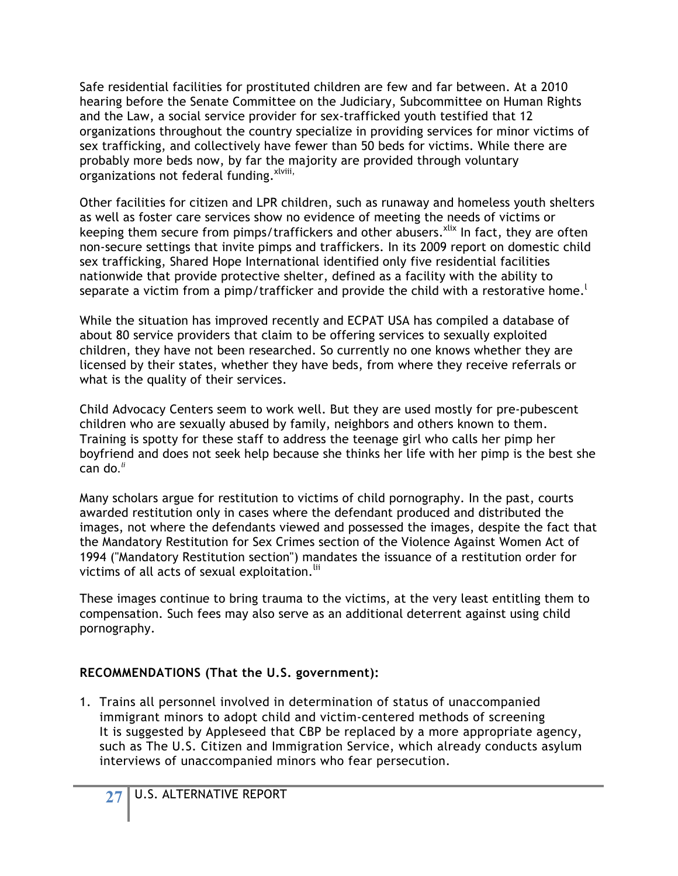Safe residential facilities for prostituted children are few and far between. At a 2010 hearing before the Senate Committee on the Judiciary, Subcommittee on Human Rights and the Law, a social service provider for sex-trafficked youth testified that 12 organizations throughout the country specialize in providing services for minor victims of sex trafficking, and collectively have fewer than 50 beds for victims. While there are probably more beds now, by far the majority are provided through voluntary organizations not federal funding. xlviii,

Other facilities for citizen and LPR children, such as runaway and homeless youth shelters as well as foster care services show no evidence of meeting the needs of victims or keeping them secure from pimps/traffickers and other abusers.<sup>xlix</sup> In fact, they are often non-secure settings that invite pimps and traffickers. In its 2009 report on domestic child sex trafficking, Shared Hope International identified only five residential facilities nationwide that provide protective shelter, defined as a facility with the ability to separate a victim from a pimp/trafficker and provide the child with a restorative home.  $^{\mathfrak l}$ 

While the situation has improved recently and ECPAT USA has compiled a database of about 80 service providers that claim to be offering services to sexually exploited children, they have not been researched. So currently no one knows whether they are licensed by their states, whether they have beds, from where they receive referrals or what is the quality of their services.

Child Advocacy Centers seem to work well. But they are used mostly for pre-pubescent children who are sexually abused by family, neighbors and others known to them. Training is spotty for these staff to address the teenage girl who calls her pimp her boyfriend and does not seek help because she thinks her life with her pimp is the best she can do*. li*

Many scholars argue for restitution to victims of child pornography. In the past, courts awarded restitution only in cases where the defendant produced and distributed the images, not where the defendants viewed and possessed the images, despite the fact that the Mandatory Restitution for Sex Crimes section of the Violence Against Women Act of 1994 ("Mandatory Restitution section") mandates the issuance of a restitution order for victims of all acts of sexual exploitation.<sup>lii</sup>

These images continue to bring trauma to the victims, at the very least entitling them to compensation. Such fees may also serve as an additional deterrent against using child pornography.

### **RECOMMENDATIONS (That the U.S. government):**

1. Trains all personnel involved in determination of status of unaccompanied immigrant minors to adopt child and victim-centered methods of screening It is suggested by Appleseed that CBP be replaced by a more appropriate agency, such as The U.S. Citizen and Immigration Service, which already conducts asylum interviews of unaccompanied minors who fear persecution.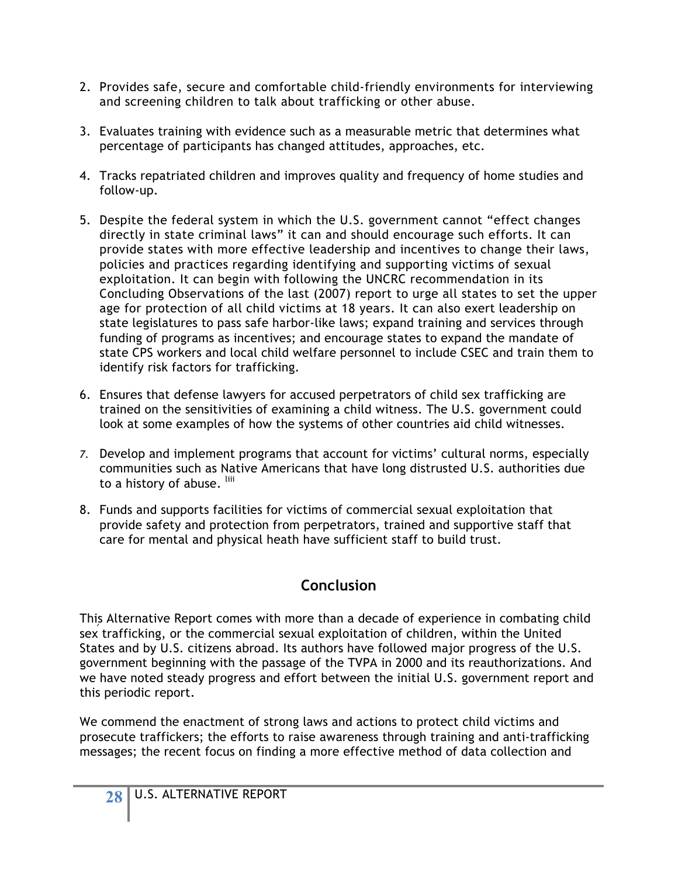- 2. Provides safe, secure and comfortable child-friendly environments for interviewing and screening children to talk about trafficking or other abuse.
- 3. Evaluates training with evidence such as a measurable metric that determines what percentage of participants has changed attitudes, approaches, etc.
- 4. Tracks repatriated children and improves quality and frequency of home studies and follow-up.
- 5. Despite the federal system in which the U.S. government cannot "effect changes directly in state criminal laws" it can and should encourage such efforts. It can provide states with more effective leadership and incentives to change their laws, policies and practices regarding identifying and supporting victims of sexual exploitation. It can begin with following the UNCRC recommendation in its Concluding Observations of the last (2007) report to urge all states to set the upper age for protection of all child victims at 18 years. It can also exert leadership on state legislatures to pass safe harbor-like laws; expand training and services through funding of programs as incentives; and encourage states to expand the mandate of state CPS workers and local child welfare personnel to include CSEC and train them to identify risk factors for trafficking.
- 6. Ensures that defense lawyers for accused perpetrators of child sex trafficking are trained on the sensitivities of examining a child witness. The U.S. government could look at some examples of how the systems of other countries aid child witnesses.
- *7.* Develop and implement programs that account for victims' cultural norms, especially communities such as Native Americans that have long distrusted U.S. authorities due to a history of abuse. liii
- 8. Funds and supports facilities for victims of commercial sexual exploitation that provide safety and protection from perpetrators, trained and supportive staff that care for mental and physical heath have sufficient staff to build trust.

## **Conclusion**

This Alternative Report comes with more than a decade of experience in combating child sex trafficking, or the commercial sexual exploitation of children, within the United States and by U.S. citizens abroad. Its authors have followed major progress of the U.S. government beginning with the passage of the TVPA in 2000 and its reauthorizations. And we have noted steady progress and effort between the initial U.S. government report and this periodic report.

We commend the enactment of strong laws and actions to protect child victims and prosecute traffickers; the efforts to raise awareness through training and anti-trafficking messages; the recent focus on finding a more effective method of data collection and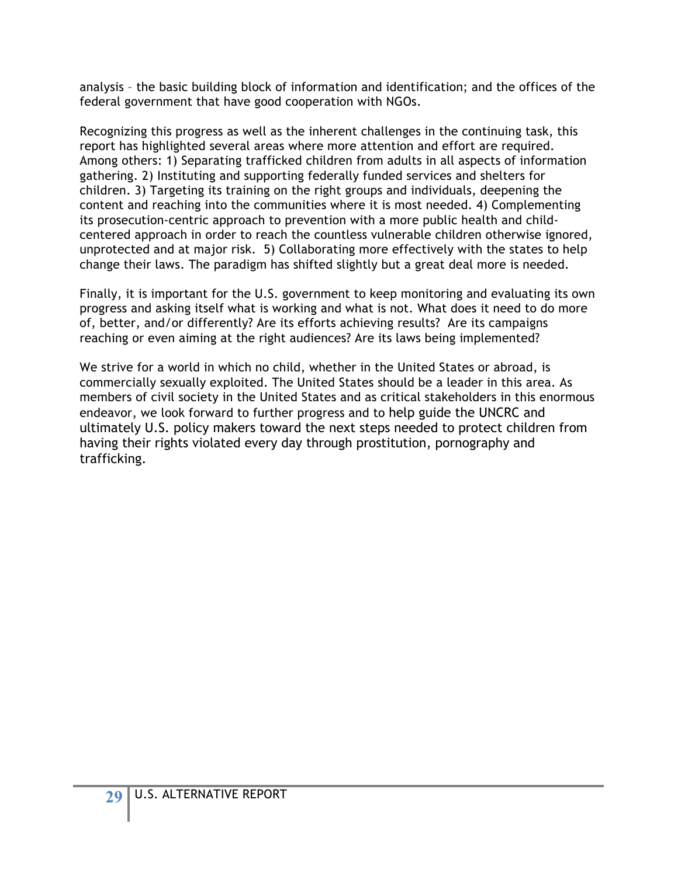analysis – the basic building block of information and identification; and the offices of the federal government that have good cooperation with NGOs.

Recognizing this progress as well as the inherent challenges in the continuing task, this report has highlighted several areas where more attention and effort are required. Among others: 1) Separating trafficked children from adults in all aspects of information gathering. 2) Instituting and supporting federally funded services and shelters for children. 3) Targeting its training on the right groups and individuals, deepening the content and reaching into the communities where it is most needed. 4) Complementing its prosecution-centric approach to prevention with a more public health and childcentered approach in order to reach the countless vulnerable children otherwise ignored, unprotected and at major risk. 5) Collaborating more effectively with the states to help change their laws. The paradigm has shifted slightly but a great deal more is needed.

Finally, it is important for the U.S. government to keep monitoring and evaluating its own progress and asking itself what is working and what is not. What does it need to do more of, better, and/or differently? Are its efforts achieving results? Are its campaigns reaching or even aiming at the right audiences? Are its laws being implemented?

We strive for a world in which no child, whether in the United States or abroad, is commercially sexually exploited. The United States should be a leader in this area. As members of civil society in the United States and as critical stakeholders in this enormous endeavor, we look forward to further progress and to help guide the UNCRC and ultimately U.S. policy makers toward the next steps needed to protect children from having their rights violated every day through prostitution, pornography and trafficking.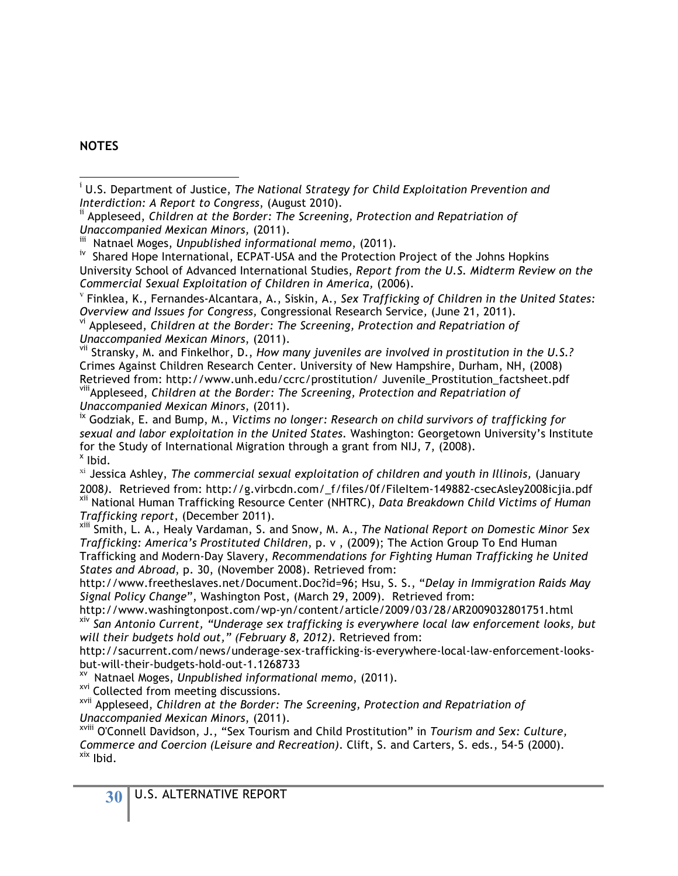#### **NOTES**

<sup>v</sup> Finklea, K., Fernandes-Alcantara, A., Siskin, A., *Sex Trafficking of Children in the United States: Overview and Issues for Congress,* Congressional Research Service*,* (June 21, 2011). vi Appleseed, *Children at the Border: The Screening, Protection and Repatriation of* 

*Unaccompanied Mexican Minors*, (2011).

vii Stransky, M. and Finkelhor, D., *How many juveniles are involved in prostitution in the U.S.?* Crimes Against Children Research Center. University of New Hampshire, Durham, NH, (2008) Retrieved from: http://www.unh.edu/ccrc/prostitution/ Juvenile\_Prostitution\_factsheet.pdf viiiAppleseed, *Children at the Border: The Screening, Protection and Repatriation of Unaccompanied Mexican Minors*, (2011).

ix Godziak, E. and Bump, M., *Victims no longer: Research on child survivors of trafficking for sexual and labor exploitation in the United States.* Washington: Georgetown University's Institute for the Study of International Migration through a grant from NIJ, 7, (2008).<br><sup>x</sup> Ibid.

xi Jessica Ashley, *The commercial sexual exploitation of children and youth in Illinois,* (January 2008*).* Retrieved from: http://g.virbcdn.com/\_f/files/0f/FileItem-149882-csecAsley2008icjia.pdf xii National Human Trafficking Resource Center (NHTRC), *Data Breakdown Child Victims of Human* 

*Trafficking report*, (December 2011).<br><sup>xiii</sup> Smith, L. A., Healy Vardaman, S. and Snow, M. A., *The National Report on Domestic Minor Sex Trafficking: America's Prostituted Children*, p. v , (2009); The Action Group To End Human Trafficking and Modern-Day Slavery, *Recommendations for Fighting Human Trafficking he United States and Abroad*, p. 30, (November 2008). Retrieved from:

http://www.freetheslaves.net/Document.Doc?id=96; Hsu, S. S., "*Delay in Immigration Raids May Signal Policy Change*", Washington Post, (March 29, 2009). Retrieved from:

http://www.washingtonpost.com/wp-yn/content/article/2009/03/28/AR2009032801751.html xiv *San Antonio Current, "Underage sex trafficking is everywhere local law enforcement looks, but will their budgets hold out," (February 8, 2012).* Retrieved from:

http://sacurrent.com/news/underage-sex-trafficking-is-everywhere-local-law-enforcement-looks-<br>but-will-their-budgets-hold-out-1.1268733

<sup>xv</sup> Natnael Moges, *Unpublished informational memo*, (2011).<br><sup>xvi</sup> Collected from meeting discussions.

xvii Appleseed, *Children at the Border: The Screening, Protection and Repatriation of* 

*Unaccompanied Mexican Minors*, (2011). xviii O'Connell Davidson, J., "Sex Tourism and Child Prostitution" in *Tourism and Sex: Culture, Commerce and Coercion (Leisure and Recreation)*. Clift, S. and Carters, S. eds., 54-5 (2000). <br><sup>xix</sup> Ibid.

i U.S. Department of Justice, *The National Strategy for Child Exploitation Prevention and Interdiction: A Report to Congress, (August 2010).*<br><sup>ii</sup> Appleseed, *Children at the Border: The Screening, Protection and Repatriation of* 

*Unaccompanied Mexican Minors,* (2011).

<sup>&</sup>lt;sup>iv</sup> Shared Hope International, ECPAT-USA and the Protection Project of the Johns Hopkins University School of Advanced International Studies, *Report from the U.S. Midterm Review on the Commercial Sexual Exploitation of Children in America,* (2006).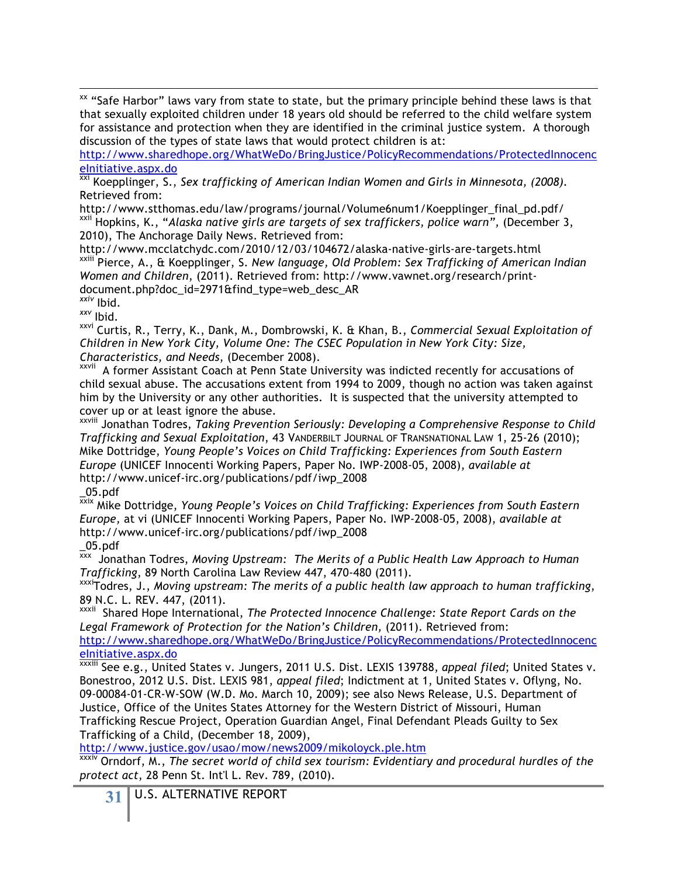<sup>xx</sup> "Safe Harbor" laws vary from state to state, but the primary principle behind these laws is that that sexually exploited children under 18 years old should be referred to the child welfare system for assistance and protection when they are identified in the criminal justice system. A thorough discussion of the types of state laws that would protect children is at:

http://www.sharedhope.org/WhatWeDo/BringJustice/PolicyRecommendations/ProtectedInnocenc eInitiative.aspx.do

xxi Koepplinger, S., *Sex trafficking of American Indian Women and Girls in Minnesota, (2008).* Retrieved from:

http://www.stthomas.edu/law/programs/journal/Volume6num1/Koepplinger\_final\_pd.pdf/ xxii Hopkins, K., "*Alaska native girls are targets of sex traffickers, police warn",* (December 3, 2010), The Anchorage Daily News. Retrieved from:

http://www.mcclatchydc.com/2010/12/03/104672/alaska-native-girls-are-targets.html xxiii Pierce, A., & Koepplinger, S. *New language, Old Problem: Sex Trafficking of American Indian Women and Children*, (2011). Retrieved from: http://www.vawnet.org/research/printdocument.php?doc\_id=2971&find\_type=web\_desc\_AR

*xxiv* Ibid. *xxv* Ibid.

xxvi Curtis, R., Terry, K., Dank, M., Dombrowski, K. & Khan, B., *Commercial Sexual Exploitation of Children in New York City, Volume One: The CSEC Population in New York City: Size, Characteristics, and Needs*, (December 2008).

xxvii A former Assistant Coach at Penn State University was indicted recently for accusations of child sexual abuse. The accusations extent from 1994 to 2009, though no action was taken against him by the University or any other authorities. It is suspected that the university attempted to cover up or at least ignore the abuse.

xxviii Jonathan Todres, *Taking Prevention Seriously: Developing a Comprehensive Response to Child Trafficking and Sexual Exploitation*, 43 VANDERBILT JOURNAL OF TRANSNATIONAL LAW 1, 25-26 (2010); Mike Dottridge, *Young People's Voices on Child Trafficking: Experiences from South Eastern Europe* (UNICEF Innocenti Working Papers, Paper No. IWP-2008-05, 2008), *available at*  http://www.unicef-irc.org/publications/pdf/iwp\_2008

\_05.pdf

xxix Mike Dottridge, *Young People's Voices on Child Trafficking: Experiences from South Eastern Europe,* at vi (UNICEF Innocenti Working Papers, Paper No. IWP-2008-05, 2008), *available at*  http://www.unicef-irc.org/publications/pdf/iwp\_2008

\_05.pdf

xxx Jonathan Todres, *Moving Upstream: The Merits of a Public Health Law Approach to Human Trafficking*, 89 North Carolina Law Review 447, 470-480 (2011).

xxxiTodres, J., *Moving upstream: The merits of a public health law approach to human trafficking*,

89 N.C. L. REV. 447, (2011).<br><sup>xxxii</sup> Shared Hope International, *The Protected Innocence Challenge: State Report Cards on the* Legal Framework of Protection for the Nation's Children, (2011). Retrieved from:

http://www.sharedhope.org/WhatWeDo/BringJustice/PolicyRecommendations/ProtectedInnocenc eInitiative.aspx.do

xxxiii See e.g., United States v. Jungers, 2011 U.S. Dist. LEXIS 139788, *appeal filed*; United States v. Bonestroo, 2012 U.S. Dist. LEXIS 981, *appeal filed*; Indictment at 1, United States v. Oflyng, No. 09-00084-01-CR-W-SOW (W.D. Mo. March 10, 2009); see also News Release, U.S. Department of Justice, Office of the Unites States Attorney for the Western District of Missouri, Human Trafficking Rescue Project, Operation Guardian Angel, Final Defendant Pleads Guilty to Sex Trafficking of a Child, (December 18, 2009),

http://www.justice.gov/usao/mow/news2009/mikoloyck.ple.htm

Orndorf, M., *The secret world of child sex tourism: Evidentiary and procedural hurdles of the protect act*, 28 Penn St. Int'l L. Rev. 789, (2010).

**31** U.S. ALTERNATIVE REPORT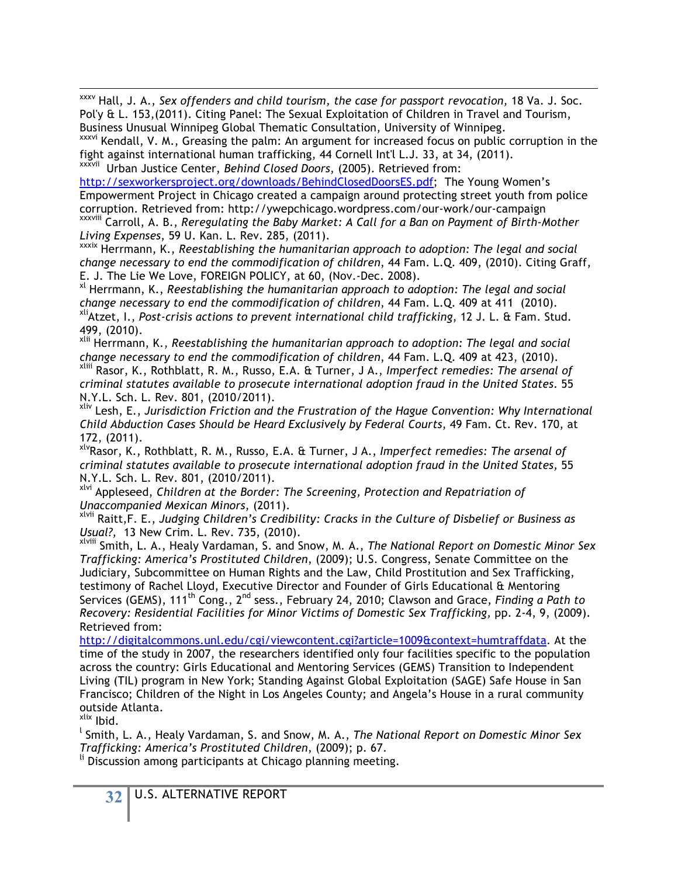xxxv Hall, J. A., *Sex offenders and child tourism, the case for passport revocation,* 18 Va. J. Soc. Pol'y & L. 153, (2011). Citing Panel: The Sexual Exploitation of Children in Travel and Tourism,<br>Business Unusual Winnipeg Global Thematic Consultation, University of Winnipeg.

XXXVI Kendall, V. M., Greasing the palm: An argument for increased focus on public corruption in the fight against international human trafficking, 44 Cornell Int'l L.J. 33, at 34, (2011). xxxvii Urban Justice Center, *Behind Closed Doors*, (2005). Retrieved from:

http://sexworkersproject.org/downloads/BehindClosedDoorsES.pdf; The Young Women's Empowerment Project in Chicago created a campaign around protecting street youth from police corruption. Retrieved from: http://ywepchicago.wordpress.com/our-work/our-campaign xxxviii Carroll, A. B., *Reregulating the Baby Market: A Call for a Ban on Payment of Birth-Mother Living Expenses*, 59 U. Kan. L. Rev. 285, (2011).

xxxix Herrmann, K., *Reestablishing the humanitarian approach to adoption: The legal and social change necessary to end the commodification of children*, 44 Fam. L.Q. 409, (2010). Citing Graff,

E. J. The Lie We Love, FOREIGN POLICY, at 60, (Nov.-Dec. 2008).<br><sup>xl</sup> Herrmann, K., *Reestablishing the humanitarian approach to adoption: The legal and social change necessary to end the commodification of children*, 44 Fam. L.Q. 409 at 411 (2010).<br><sup>xli</sup>Atzet, I., *Post-crisis actions to prevent international child trafficking*, 12 J. L. & Fam. Stud.

499, (2010).<br><sup>xlii</sup> Herrmann, K., *Reestablishing the humanitarian approach to adoption: The legal and social*<br>change necessary to end the commodification of children, 44 Fam. L.Q. 409 at 423, (2010).

*change necessary to end the commodification of children*, 44 Fam. L.Q. 409 at 423, (2010). xliii Rasor, K., Rothblatt, R. M., Russo, E.A. & Turner, J A., *Imperfect remedies: The arsenal of criminal statutes available to prosecute international adoption fraud in the United States*. 55 N.Y.L. Sch. L. Rev. 801, (2010/2011).<br><sup>xliv</sup> Lesh, E., *Jurisdiction Friction and the Frustration of the Hague Convention: Why International* 

*Child Abduction Cases Should be Heard Exclusively by Federal Courts*, 49 Fam. Ct. Rev. 170, at

172, (2011).<br><sup>xlv</sup>Rasor, K., Rothblatt, R. M., Russo, E.A. & Turner, J A., *Imperfect remedies: The arsenal of criminal statutes available to prosecute international adoption fraud in the United States,* 55

N.Y.L. Sch. L. Rev. 801, (2010/2011).<br><sup>xlvi</sup> Appleseed, *Children at the Border: The Screening, Protection and Repatriation of*<br>Unaccompanied Mexican Minors, (2011).

*Unaccompanied Mexican Minors*, (2011). xlvii Raitt,F. E., *Judging Children's Credibility: Cracks in the Culture of Disbelief or Business as Usual?,* 13 New Crim. L. Rev. 735, (2010).<br><sup>xlviii</sup> Smith, L. A., Healy Vardaman, S. and Snow, M. A., *The National Report on Domestic Minor Sex* 

*Trafficking: America's Prostituted Children*, (2009); U.S. Congress, Senate Committee on the Judiciary, Subcommittee on Human Rights and the Law, Child Prostitution and Sex Trafficking, testimony of Rachel Lloyd, Executive Director and Founder of Girls Educational & Mentoring Services (GEMS), 111th Cong., 2nd sess., February 24, 2010; Clawson and Grace, *Finding a Path to Recovery: Residential Facilities for Minor Victims of Domestic Sex Trafficking,* pp. 2-4, 9, (2009). Retrieved from:

http://digitalcommons.unl.edu/cgi/viewcontent.cgi?article=1009&context=humtraffdata. At the time of the study in 2007, the researchers identified only four facilities specific to the population across the country: Girls Educational and Mentoring Services (GEMS) Transition to Independent Living (TIL) program in New York; Standing Against Global Exploitation (SAGE) Safe House in San Francisco; Children of the Night in Los Angeles County; and Angela's House in a rural community outside Atlanta.

xlix Ibid.

<sup>l</sup> Smith, L. A., Healy Vardaman, S. and Snow, M. A., *The National Report on Domestic Minor Sex Trafficking: America's Prostituted Children*, (2009); p. 67.

li Discussion among participants at Chicago planning meeting.